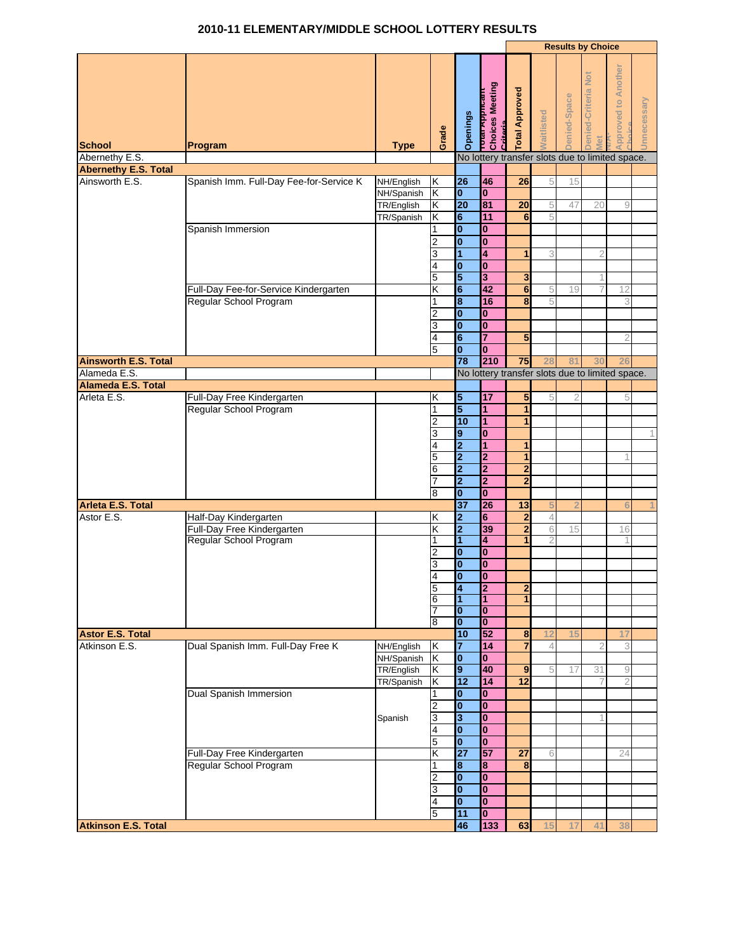## **2010-11 ELEMENTARY/MIDDLE SCHOOL LOTTERY RESULTS**

| <b>Approved to Another</b><br>Denied-Criteria Not<br><b>דסנפו א</b> pטונים<br>Choices Meeting<br><b>Total Approved</b><br>lenied-Space<br>Jnnecessary<br><b>Vaitlisted</b><br>Openings<br><b>Critorio</b><br>Grade<br>Vlet<br><b>School</b><br>Program<br><b>Type</b><br>Abernethy E.S.<br>No lottery transfer slots due to limited space.<br><b>Abernethy E.S. Total</b><br>Ainsworth E.S.<br>Spanish Imm. Full-Day Fee-for-Service K<br>26<br>46<br>26<br>NH/English<br>Κ<br>5<br>15<br>$\mathbf{0}$<br>$\mathbf{0}$<br>NH/Spanish<br>Κ<br>81<br>20<br>20<br>TR/English<br>Κ<br>5<br>47<br>20<br>9<br>$6\phantom{1}$<br>11<br>5<br>TR/Spanish<br>Κ<br>6<br>$\mathbf{0}$<br>Spanish Immersion<br>$\bf{0}$<br>1<br>$\bf{0}$<br>$\bf{0}$<br>2<br>$\overline{1}$<br>4<br>1<br>3<br>3<br>$\overline{\mathbf{0}}$<br>$\mathbf{0}$<br>4<br>5<br>5<br>3<br>3<br>$6\phantom{1}$<br>42<br>Full-Day Fee-for-Service Kindergarten<br>Κ<br>$6\phantom{1}6$<br>5<br>12<br>19<br>$\bf{8}$<br>16<br>Regular School Program<br>8<br>1<br>5<br>3<br>$\bf{0}$<br>0<br>2<br>$\bf{0}$<br>$\bf{0}$<br>3<br>6<br>7<br>5<br>4<br>$\bf{0}$<br>$\mathbf{0}$<br>5<br>78<br>210<br>75<br><b>Ainsworth E.S. Total</b><br>8 <sup>′</sup><br>Alameda E.S.<br>No lottery transfer slots due to limited space.<br>Alameda E.S. Total<br>Arleta E.S.<br>17<br>Full-Day Free Kindergarten<br>5<br>5<br>5<br>2<br>κ<br>5<br>5<br>Regular School Program<br>1<br>1<br>1<br>10<br>1<br>2<br>1<br>9<br>$\bf{0}$<br>3<br>$\overline{\mathbf{2}}$<br>4<br>$\mathbf{1}$<br>1<br>$\overline{\mathbf{2}}$<br>5<br>$\mathbf{2}$<br>1<br>$\overline{2}$<br>2<br>6<br>$\overline{2}$<br>2<br>$\overline{\mathbf{2}}$<br>$\overline{2}$<br>0<br>$\bf{0}$<br>8<br>$\overline{37}$<br>26<br>Arleta E.S. Total<br>13<br>5<br>$\overline{2}$<br>6<br>$\overline{\mathbf{2}}$<br>6<br>Astor E.S.<br>Κ<br>$\overline{2}$<br>Half-Day Kindergarten<br>4<br>Full-Day Free Kindergarten<br>Κ<br>$\mathbf{2}$<br>39<br>2<br>6<br>15<br>16<br>Regular School Program<br>$\overline{1}$<br>4<br>$\overline{1}$<br>1<br>$\overline{2}$<br>2<br>$\bf{0}$<br>0<br>0<br>$\bf{0}$<br>3<br>$\overline{\mathbf{0}}$<br>Ō<br>2<br>5<br>4<br>2<br>1<br>1<br>6<br>7<br>$\bf{0}$<br>$\overline{\mathbf{0}}$<br>$\bf{0}$<br>$\mathbf{0}$<br>8<br>10<br>52<br><b>Astor E.S. Total</b><br>8<br>17<br>15<br>12<br>Atkinson E.S.<br>Dual Spanish Imm. Full-Day Free K<br>Κ<br>$\overline{7}$<br>14<br>$\overline{7}$<br>NH/English<br>3<br>2<br>Κ<br>$\overline{\mathbf{0}}$<br>NH/Spanish<br>$\bf{0}$<br>9<br>40<br>TR/English<br>Κ<br>9<br>5<br>31<br>$\overline{9}$<br>17<br>12<br>14<br>12<br>Κ<br>TR/Spanish<br>2<br>$\mathbf{0}$<br><b>Dual Spanish Immersion</b><br>$\mathbf{0}$<br>1<br>$\overline{\mathbf{0}}$<br>$\bf{0}$<br>2<br>3<br>$\bf{0}$<br>3<br>Spanish<br>$\mathbf{0}$<br>$\mathbf{0}$<br>4<br>$\overline{\mathbf{0}}$<br>$\mathbf{0}$<br>5<br>$\overline{27}$<br>57<br>Κ<br>Full-Day Free Kindergarten<br>27<br>6<br>24<br>Regular School Program<br>8<br>8<br>8<br>1<br>$\mathbf{0}$<br>$\bf{0}$<br>2<br>$\mathbf{0}$<br>$\bf{0}$<br>3<br>$\mathbf{0}$<br>$\bf{0}$<br>4<br>11<br>Ō<br>5<br>46<br>133<br>63<br>15<br>17<br>41<br>38 |                            |  |  |  |  | <b>Results by Choice</b> |  |
|-------------------------------------------------------------------------------------------------------------------------------------------------------------------------------------------------------------------------------------------------------------------------------------------------------------------------------------------------------------------------------------------------------------------------------------------------------------------------------------------------------------------------------------------------------------------------------------------------------------------------------------------------------------------------------------------------------------------------------------------------------------------------------------------------------------------------------------------------------------------------------------------------------------------------------------------------------------------------------------------------------------------------------------------------------------------------------------------------------------------------------------------------------------------------------------------------------------------------------------------------------------------------------------------------------------------------------------------------------------------------------------------------------------------------------------------------------------------------------------------------------------------------------------------------------------------------------------------------------------------------------------------------------------------------------------------------------------------------------------------------------------------------------------------------------------------------------------------------------------------------------------------------------------------------------------------------------------------------------------------------------------------------------------------------------------------------------------------------------------------------------------------------------------------------------------------------------------------------------------------------------------------------------------------------------------------------------------------------------------------------------------------------------------------------------------------------------------------------------------------------------------------------------------------------------------------------------------------------------------------------------------------------------------------------------------------------------------------------------------------------------------------------------------------------------------------------------------------------------------------------------------------------------------------------------------------------------------------------------------------------------------------------------------------------------------------------------------------------------------------------------------------------------------------------------|----------------------------|--|--|--|--|--------------------------|--|
|                                                                                                                                                                                                                                                                                                                                                                                                                                                                                                                                                                                                                                                                                                                                                                                                                                                                                                                                                                                                                                                                                                                                                                                                                                                                                                                                                                                                                                                                                                                                                                                                                                                                                                                                                                                                                                                                                                                                                                                                                                                                                                                                                                                                                                                                                                                                                                                                                                                                                                                                                                                                                                                                                                                                                                                                                                                                                                                                                                                                                                                                                                                                                                               |                            |  |  |  |  |                          |  |
|                                                                                                                                                                                                                                                                                                                                                                                                                                                                                                                                                                                                                                                                                                                                                                                                                                                                                                                                                                                                                                                                                                                                                                                                                                                                                                                                                                                                                                                                                                                                                                                                                                                                                                                                                                                                                                                                                                                                                                                                                                                                                                                                                                                                                                                                                                                                                                                                                                                                                                                                                                                                                                                                                                                                                                                                                                                                                                                                                                                                                                                                                                                                                                               |                            |  |  |  |  |                          |  |
|                                                                                                                                                                                                                                                                                                                                                                                                                                                                                                                                                                                                                                                                                                                                                                                                                                                                                                                                                                                                                                                                                                                                                                                                                                                                                                                                                                                                                                                                                                                                                                                                                                                                                                                                                                                                                                                                                                                                                                                                                                                                                                                                                                                                                                                                                                                                                                                                                                                                                                                                                                                                                                                                                                                                                                                                                                                                                                                                                                                                                                                                                                                                                                               |                            |  |  |  |  |                          |  |
|                                                                                                                                                                                                                                                                                                                                                                                                                                                                                                                                                                                                                                                                                                                                                                                                                                                                                                                                                                                                                                                                                                                                                                                                                                                                                                                                                                                                                                                                                                                                                                                                                                                                                                                                                                                                                                                                                                                                                                                                                                                                                                                                                                                                                                                                                                                                                                                                                                                                                                                                                                                                                                                                                                                                                                                                                                                                                                                                                                                                                                                                                                                                                                               |                            |  |  |  |  |                          |  |
|                                                                                                                                                                                                                                                                                                                                                                                                                                                                                                                                                                                                                                                                                                                                                                                                                                                                                                                                                                                                                                                                                                                                                                                                                                                                                                                                                                                                                                                                                                                                                                                                                                                                                                                                                                                                                                                                                                                                                                                                                                                                                                                                                                                                                                                                                                                                                                                                                                                                                                                                                                                                                                                                                                                                                                                                                                                                                                                                                                                                                                                                                                                                                                               |                            |  |  |  |  |                          |  |
|                                                                                                                                                                                                                                                                                                                                                                                                                                                                                                                                                                                                                                                                                                                                                                                                                                                                                                                                                                                                                                                                                                                                                                                                                                                                                                                                                                                                                                                                                                                                                                                                                                                                                                                                                                                                                                                                                                                                                                                                                                                                                                                                                                                                                                                                                                                                                                                                                                                                                                                                                                                                                                                                                                                                                                                                                                                                                                                                                                                                                                                                                                                                                                               |                            |  |  |  |  |                          |  |
|                                                                                                                                                                                                                                                                                                                                                                                                                                                                                                                                                                                                                                                                                                                                                                                                                                                                                                                                                                                                                                                                                                                                                                                                                                                                                                                                                                                                                                                                                                                                                                                                                                                                                                                                                                                                                                                                                                                                                                                                                                                                                                                                                                                                                                                                                                                                                                                                                                                                                                                                                                                                                                                                                                                                                                                                                                                                                                                                                                                                                                                                                                                                                                               |                            |  |  |  |  |                          |  |
|                                                                                                                                                                                                                                                                                                                                                                                                                                                                                                                                                                                                                                                                                                                                                                                                                                                                                                                                                                                                                                                                                                                                                                                                                                                                                                                                                                                                                                                                                                                                                                                                                                                                                                                                                                                                                                                                                                                                                                                                                                                                                                                                                                                                                                                                                                                                                                                                                                                                                                                                                                                                                                                                                                                                                                                                                                                                                                                                                                                                                                                                                                                                                                               |                            |  |  |  |  |                          |  |
|                                                                                                                                                                                                                                                                                                                                                                                                                                                                                                                                                                                                                                                                                                                                                                                                                                                                                                                                                                                                                                                                                                                                                                                                                                                                                                                                                                                                                                                                                                                                                                                                                                                                                                                                                                                                                                                                                                                                                                                                                                                                                                                                                                                                                                                                                                                                                                                                                                                                                                                                                                                                                                                                                                                                                                                                                                                                                                                                                                                                                                                                                                                                                                               |                            |  |  |  |  |                          |  |
|                                                                                                                                                                                                                                                                                                                                                                                                                                                                                                                                                                                                                                                                                                                                                                                                                                                                                                                                                                                                                                                                                                                                                                                                                                                                                                                                                                                                                                                                                                                                                                                                                                                                                                                                                                                                                                                                                                                                                                                                                                                                                                                                                                                                                                                                                                                                                                                                                                                                                                                                                                                                                                                                                                                                                                                                                                                                                                                                                                                                                                                                                                                                                                               |                            |  |  |  |  |                          |  |
|                                                                                                                                                                                                                                                                                                                                                                                                                                                                                                                                                                                                                                                                                                                                                                                                                                                                                                                                                                                                                                                                                                                                                                                                                                                                                                                                                                                                                                                                                                                                                                                                                                                                                                                                                                                                                                                                                                                                                                                                                                                                                                                                                                                                                                                                                                                                                                                                                                                                                                                                                                                                                                                                                                                                                                                                                                                                                                                                                                                                                                                                                                                                                                               |                            |  |  |  |  |                          |  |
|                                                                                                                                                                                                                                                                                                                                                                                                                                                                                                                                                                                                                                                                                                                                                                                                                                                                                                                                                                                                                                                                                                                                                                                                                                                                                                                                                                                                                                                                                                                                                                                                                                                                                                                                                                                                                                                                                                                                                                                                                                                                                                                                                                                                                                                                                                                                                                                                                                                                                                                                                                                                                                                                                                                                                                                                                                                                                                                                                                                                                                                                                                                                                                               |                            |  |  |  |  |                          |  |
|                                                                                                                                                                                                                                                                                                                                                                                                                                                                                                                                                                                                                                                                                                                                                                                                                                                                                                                                                                                                                                                                                                                                                                                                                                                                                                                                                                                                                                                                                                                                                                                                                                                                                                                                                                                                                                                                                                                                                                                                                                                                                                                                                                                                                                                                                                                                                                                                                                                                                                                                                                                                                                                                                                                                                                                                                                                                                                                                                                                                                                                                                                                                                                               |                            |  |  |  |  |                          |  |
|                                                                                                                                                                                                                                                                                                                                                                                                                                                                                                                                                                                                                                                                                                                                                                                                                                                                                                                                                                                                                                                                                                                                                                                                                                                                                                                                                                                                                                                                                                                                                                                                                                                                                                                                                                                                                                                                                                                                                                                                                                                                                                                                                                                                                                                                                                                                                                                                                                                                                                                                                                                                                                                                                                                                                                                                                                                                                                                                                                                                                                                                                                                                                                               |                            |  |  |  |  |                          |  |
|                                                                                                                                                                                                                                                                                                                                                                                                                                                                                                                                                                                                                                                                                                                                                                                                                                                                                                                                                                                                                                                                                                                                                                                                                                                                                                                                                                                                                                                                                                                                                                                                                                                                                                                                                                                                                                                                                                                                                                                                                                                                                                                                                                                                                                                                                                                                                                                                                                                                                                                                                                                                                                                                                                                                                                                                                                                                                                                                                                                                                                                                                                                                                                               |                            |  |  |  |  |                          |  |
|                                                                                                                                                                                                                                                                                                                                                                                                                                                                                                                                                                                                                                                                                                                                                                                                                                                                                                                                                                                                                                                                                                                                                                                                                                                                                                                                                                                                                                                                                                                                                                                                                                                                                                                                                                                                                                                                                                                                                                                                                                                                                                                                                                                                                                                                                                                                                                                                                                                                                                                                                                                                                                                                                                                                                                                                                                                                                                                                                                                                                                                                                                                                                                               |                            |  |  |  |  |                          |  |
|                                                                                                                                                                                                                                                                                                                                                                                                                                                                                                                                                                                                                                                                                                                                                                                                                                                                                                                                                                                                                                                                                                                                                                                                                                                                                                                                                                                                                                                                                                                                                                                                                                                                                                                                                                                                                                                                                                                                                                                                                                                                                                                                                                                                                                                                                                                                                                                                                                                                                                                                                                                                                                                                                                                                                                                                                                                                                                                                                                                                                                                                                                                                                                               |                            |  |  |  |  |                          |  |
|                                                                                                                                                                                                                                                                                                                                                                                                                                                                                                                                                                                                                                                                                                                                                                                                                                                                                                                                                                                                                                                                                                                                                                                                                                                                                                                                                                                                                                                                                                                                                                                                                                                                                                                                                                                                                                                                                                                                                                                                                                                                                                                                                                                                                                                                                                                                                                                                                                                                                                                                                                                                                                                                                                                                                                                                                                                                                                                                                                                                                                                                                                                                                                               |                            |  |  |  |  |                          |  |
|                                                                                                                                                                                                                                                                                                                                                                                                                                                                                                                                                                                                                                                                                                                                                                                                                                                                                                                                                                                                                                                                                                                                                                                                                                                                                                                                                                                                                                                                                                                                                                                                                                                                                                                                                                                                                                                                                                                                                                                                                                                                                                                                                                                                                                                                                                                                                                                                                                                                                                                                                                                                                                                                                                                                                                                                                                                                                                                                                                                                                                                                                                                                                                               |                            |  |  |  |  |                          |  |
|                                                                                                                                                                                                                                                                                                                                                                                                                                                                                                                                                                                                                                                                                                                                                                                                                                                                                                                                                                                                                                                                                                                                                                                                                                                                                                                                                                                                                                                                                                                                                                                                                                                                                                                                                                                                                                                                                                                                                                                                                                                                                                                                                                                                                                                                                                                                                                                                                                                                                                                                                                                                                                                                                                                                                                                                                                                                                                                                                                                                                                                                                                                                                                               |                            |  |  |  |  |                          |  |
|                                                                                                                                                                                                                                                                                                                                                                                                                                                                                                                                                                                                                                                                                                                                                                                                                                                                                                                                                                                                                                                                                                                                                                                                                                                                                                                                                                                                                                                                                                                                                                                                                                                                                                                                                                                                                                                                                                                                                                                                                                                                                                                                                                                                                                                                                                                                                                                                                                                                                                                                                                                                                                                                                                                                                                                                                                                                                                                                                                                                                                                                                                                                                                               |                            |  |  |  |  |                          |  |
|                                                                                                                                                                                                                                                                                                                                                                                                                                                                                                                                                                                                                                                                                                                                                                                                                                                                                                                                                                                                                                                                                                                                                                                                                                                                                                                                                                                                                                                                                                                                                                                                                                                                                                                                                                                                                                                                                                                                                                                                                                                                                                                                                                                                                                                                                                                                                                                                                                                                                                                                                                                                                                                                                                                                                                                                                                                                                                                                                                                                                                                                                                                                                                               |                            |  |  |  |  |                          |  |
|                                                                                                                                                                                                                                                                                                                                                                                                                                                                                                                                                                                                                                                                                                                                                                                                                                                                                                                                                                                                                                                                                                                                                                                                                                                                                                                                                                                                                                                                                                                                                                                                                                                                                                                                                                                                                                                                                                                                                                                                                                                                                                                                                                                                                                                                                                                                                                                                                                                                                                                                                                                                                                                                                                                                                                                                                                                                                                                                                                                                                                                                                                                                                                               |                            |  |  |  |  |                          |  |
|                                                                                                                                                                                                                                                                                                                                                                                                                                                                                                                                                                                                                                                                                                                                                                                                                                                                                                                                                                                                                                                                                                                                                                                                                                                                                                                                                                                                                                                                                                                                                                                                                                                                                                                                                                                                                                                                                                                                                                                                                                                                                                                                                                                                                                                                                                                                                                                                                                                                                                                                                                                                                                                                                                                                                                                                                                                                                                                                                                                                                                                                                                                                                                               |                            |  |  |  |  |                          |  |
|                                                                                                                                                                                                                                                                                                                                                                                                                                                                                                                                                                                                                                                                                                                                                                                                                                                                                                                                                                                                                                                                                                                                                                                                                                                                                                                                                                                                                                                                                                                                                                                                                                                                                                                                                                                                                                                                                                                                                                                                                                                                                                                                                                                                                                                                                                                                                                                                                                                                                                                                                                                                                                                                                                                                                                                                                                                                                                                                                                                                                                                                                                                                                                               |                            |  |  |  |  |                          |  |
|                                                                                                                                                                                                                                                                                                                                                                                                                                                                                                                                                                                                                                                                                                                                                                                                                                                                                                                                                                                                                                                                                                                                                                                                                                                                                                                                                                                                                                                                                                                                                                                                                                                                                                                                                                                                                                                                                                                                                                                                                                                                                                                                                                                                                                                                                                                                                                                                                                                                                                                                                                                                                                                                                                                                                                                                                                                                                                                                                                                                                                                                                                                                                                               |                            |  |  |  |  |                          |  |
|                                                                                                                                                                                                                                                                                                                                                                                                                                                                                                                                                                                                                                                                                                                                                                                                                                                                                                                                                                                                                                                                                                                                                                                                                                                                                                                                                                                                                                                                                                                                                                                                                                                                                                                                                                                                                                                                                                                                                                                                                                                                                                                                                                                                                                                                                                                                                                                                                                                                                                                                                                                                                                                                                                                                                                                                                                                                                                                                                                                                                                                                                                                                                                               |                            |  |  |  |  |                          |  |
|                                                                                                                                                                                                                                                                                                                                                                                                                                                                                                                                                                                                                                                                                                                                                                                                                                                                                                                                                                                                                                                                                                                                                                                                                                                                                                                                                                                                                                                                                                                                                                                                                                                                                                                                                                                                                                                                                                                                                                                                                                                                                                                                                                                                                                                                                                                                                                                                                                                                                                                                                                                                                                                                                                                                                                                                                                                                                                                                                                                                                                                                                                                                                                               |                            |  |  |  |  |                          |  |
|                                                                                                                                                                                                                                                                                                                                                                                                                                                                                                                                                                                                                                                                                                                                                                                                                                                                                                                                                                                                                                                                                                                                                                                                                                                                                                                                                                                                                                                                                                                                                                                                                                                                                                                                                                                                                                                                                                                                                                                                                                                                                                                                                                                                                                                                                                                                                                                                                                                                                                                                                                                                                                                                                                                                                                                                                                                                                                                                                                                                                                                                                                                                                                               |                            |  |  |  |  |                          |  |
|                                                                                                                                                                                                                                                                                                                                                                                                                                                                                                                                                                                                                                                                                                                                                                                                                                                                                                                                                                                                                                                                                                                                                                                                                                                                                                                                                                                                                                                                                                                                                                                                                                                                                                                                                                                                                                                                                                                                                                                                                                                                                                                                                                                                                                                                                                                                                                                                                                                                                                                                                                                                                                                                                                                                                                                                                                                                                                                                                                                                                                                                                                                                                                               |                            |  |  |  |  |                          |  |
|                                                                                                                                                                                                                                                                                                                                                                                                                                                                                                                                                                                                                                                                                                                                                                                                                                                                                                                                                                                                                                                                                                                                                                                                                                                                                                                                                                                                                                                                                                                                                                                                                                                                                                                                                                                                                                                                                                                                                                                                                                                                                                                                                                                                                                                                                                                                                                                                                                                                                                                                                                                                                                                                                                                                                                                                                                                                                                                                                                                                                                                                                                                                                                               |                            |  |  |  |  |                          |  |
|                                                                                                                                                                                                                                                                                                                                                                                                                                                                                                                                                                                                                                                                                                                                                                                                                                                                                                                                                                                                                                                                                                                                                                                                                                                                                                                                                                                                                                                                                                                                                                                                                                                                                                                                                                                                                                                                                                                                                                                                                                                                                                                                                                                                                                                                                                                                                                                                                                                                                                                                                                                                                                                                                                                                                                                                                                                                                                                                                                                                                                                                                                                                                                               |                            |  |  |  |  |                          |  |
|                                                                                                                                                                                                                                                                                                                                                                                                                                                                                                                                                                                                                                                                                                                                                                                                                                                                                                                                                                                                                                                                                                                                                                                                                                                                                                                                                                                                                                                                                                                                                                                                                                                                                                                                                                                                                                                                                                                                                                                                                                                                                                                                                                                                                                                                                                                                                                                                                                                                                                                                                                                                                                                                                                                                                                                                                                                                                                                                                                                                                                                                                                                                                                               |                            |  |  |  |  |                          |  |
|                                                                                                                                                                                                                                                                                                                                                                                                                                                                                                                                                                                                                                                                                                                                                                                                                                                                                                                                                                                                                                                                                                                                                                                                                                                                                                                                                                                                                                                                                                                                                                                                                                                                                                                                                                                                                                                                                                                                                                                                                                                                                                                                                                                                                                                                                                                                                                                                                                                                                                                                                                                                                                                                                                                                                                                                                                                                                                                                                                                                                                                                                                                                                                               |                            |  |  |  |  |                          |  |
|                                                                                                                                                                                                                                                                                                                                                                                                                                                                                                                                                                                                                                                                                                                                                                                                                                                                                                                                                                                                                                                                                                                                                                                                                                                                                                                                                                                                                                                                                                                                                                                                                                                                                                                                                                                                                                                                                                                                                                                                                                                                                                                                                                                                                                                                                                                                                                                                                                                                                                                                                                                                                                                                                                                                                                                                                                                                                                                                                                                                                                                                                                                                                                               |                            |  |  |  |  |                          |  |
|                                                                                                                                                                                                                                                                                                                                                                                                                                                                                                                                                                                                                                                                                                                                                                                                                                                                                                                                                                                                                                                                                                                                                                                                                                                                                                                                                                                                                                                                                                                                                                                                                                                                                                                                                                                                                                                                                                                                                                                                                                                                                                                                                                                                                                                                                                                                                                                                                                                                                                                                                                                                                                                                                                                                                                                                                                                                                                                                                                                                                                                                                                                                                                               |                            |  |  |  |  |                          |  |
|                                                                                                                                                                                                                                                                                                                                                                                                                                                                                                                                                                                                                                                                                                                                                                                                                                                                                                                                                                                                                                                                                                                                                                                                                                                                                                                                                                                                                                                                                                                                                                                                                                                                                                                                                                                                                                                                                                                                                                                                                                                                                                                                                                                                                                                                                                                                                                                                                                                                                                                                                                                                                                                                                                                                                                                                                                                                                                                                                                                                                                                                                                                                                                               |                            |  |  |  |  |                          |  |
|                                                                                                                                                                                                                                                                                                                                                                                                                                                                                                                                                                                                                                                                                                                                                                                                                                                                                                                                                                                                                                                                                                                                                                                                                                                                                                                                                                                                                                                                                                                                                                                                                                                                                                                                                                                                                                                                                                                                                                                                                                                                                                                                                                                                                                                                                                                                                                                                                                                                                                                                                                                                                                                                                                                                                                                                                                                                                                                                                                                                                                                                                                                                                                               |                            |  |  |  |  |                          |  |
|                                                                                                                                                                                                                                                                                                                                                                                                                                                                                                                                                                                                                                                                                                                                                                                                                                                                                                                                                                                                                                                                                                                                                                                                                                                                                                                                                                                                                                                                                                                                                                                                                                                                                                                                                                                                                                                                                                                                                                                                                                                                                                                                                                                                                                                                                                                                                                                                                                                                                                                                                                                                                                                                                                                                                                                                                                                                                                                                                                                                                                                                                                                                                                               |                            |  |  |  |  |                          |  |
|                                                                                                                                                                                                                                                                                                                                                                                                                                                                                                                                                                                                                                                                                                                                                                                                                                                                                                                                                                                                                                                                                                                                                                                                                                                                                                                                                                                                                                                                                                                                                                                                                                                                                                                                                                                                                                                                                                                                                                                                                                                                                                                                                                                                                                                                                                                                                                                                                                                                                                                                                                                                                                                                                                                                                                                                                                                                                                                                                                                                                                                                                                                                                                               |                            |  |  |  |  |                          |  |
|                                                                                                                                                                                                                                                                                                                                                                                                                                                                                                                                                                                                                                                                                                                                                                                                                                                                                                                                                                                                                                                                                                                                                                                                                                                                                                                                                                                                                                                                                                                                                                                                                                                                                                                                                                                                                                                                                                                                                                                                                                                                                                                                                                                                                                                                                                                                                                                                                                                                                                                                                                                                                                                                                                                                                                                                                                                                                                                                                                                                                                                                                                                                                                               |                            |  |  |  |  |                          |  |
|                                                                                                                                                                                                                                                                                                                                                                                                                                                                                                                                                                                                                                                                                                                                                                                                                                                                                                                                                                                                                                                                                                                                                                                                                                                                                                                                                                                                                                                                                                                                                                                                                                                                                                                                                                                                                                                                                                                                                                                                                                                                                                                                                                                                                                                                                                                                                                                                                                                                                                                                                                                                                                                                                                                                                                                                                                                                                                                                                                                                                                                                                                                                                                               |                            |  |  |  |  |                          |  |
|                                                                                                                                                                                                                                                                                                                                                                                                                                                                                                                                                                                                                                                                                                                                                                                                                                                                                                                                                                                                                                                                                                                                                                                                                                                                                                                                                                                                                                                                                                                                                                                                                                                                                                                                                                                                                                                                                                                                                                                                                                                                                                                                                                                                                                                                                                                                                                                                                                                                                                                                                                                                                                                                                                                                                                                                                                                                                                                                                                                                                                                                                                                                                                               |                            |  |  |  |  |                          |  |
|                                                                                                                                                                                                                                                                                                                                                                                                                                                                                                                                                                                                                                                                                                                                                                                                                                                                                                                                                                                                                                                                                                                                                                                                                                                                                                                                                                                                                                                                                                                                                                                                                                                                                                                                                                                                                                                                                                                                                                                                                                                                                                                                                                                                                                                                                                                                                                                                                                                                                                                                                                                                                                                                                                                                                                                                                                                                                                                                                                                                                                                                                                                                                                               |                            |  |  |  |  |                          |  |
|                                                                                                                                                                                                                                                                                                                                                                                                                                                                                                                                                                                                                                                                                                                                                                                                                                                                                                                                                                                                                                                                                                                                                                                                                                                                                                                                                                                                                                                                                                                                                                                                                                                                                                                                                                                                                                                                                                                                                                                                                                                                                                                                                                                                                                                                                                                                                                                                                                                                                                                                                                                                                                                                                                                                                                                                                                                                                                                                                                                                                                                                                                                                                                               |                            |  |  |  |  |                          |  |
|                                                                                                                                                                                                                                                                                                                                                                                                                                                                                                                                                                                                                                                                                                                                                                                                                                                                                                                                                                                                                                                                                                                                                                                                                                                                                                                                                                                                                                                                                                                                                                                                                                                                                                                                                                                                                                                                                                                                                                                                                                                                                                                                                                                                                                                                                                                                                                                                                                                                                                                                                                                                                                                                                                                                                                                                                                                                                                                                                                                                                                                                                                                                                                               |                            |  |  |  |  |                          |  |
|                                                                                                                                                                                                                                                                                                                                                                                                                                                                                                                                                                                                                                                                                                                                                                                                                                                                                                                                                                                                                                                                                                                                                                                                                                                                                                                                                                                                                                                                                                                                                                                                                                                                                                                                                                                                                                                                                                                                                                                                                                                                                                                                                                                                                                                                                                                                                                                                                                                                                                                                                                                                                                                                                                                                                                                                                                                                                                                                                                                                                                                                                                                                                                               |                            |  |  |  |  |                          |  |
|                                                                                                                                                                                                                                                                                                                                                                                                                                                                                                                                                                                                                                                                                                                                                                                                                                                                                                                                                                                                                                                                                                                                                                                                                                                                                                                                                                                                                                                                                                                                                                                                                                                                                                                                                                                                                                                                                                                                                                                                                                                                                                                                                                                                                                                                                                                                                                                                                                                                                                                                                                                                                                                                                                                                                                                                                                                                                                                                                                                                                                                                                                                                                                               |                            |  |  |  |  |                          |  |
|                                                                                                                                                                                                                                                                                                                                                                                                                                                                                                                                                                                                                                                                                                                                                                                                                                                                                                                                                                                                                                                                                                                                                                                                                                                                                                                                                                                                                                                                                                                                                                                                                                                                                                                                                                                                                                                                                                                                                                                                                                                                                                                                                                                                                                                                                                                                                                                                                                                                                                                                                                                                                                                                                                                                                                                                                                                                                                                                                                                                                                                                                                                                                                               |                            |  |  |  |  |                          |  |
|                                                                                                                                                                                                                                                                                                                                                                                                                                                                                                                                                                                                                                                                                                                                                                                                                                                                                                                                                                                                                                                                                                                                                                                                                                                                                                                                                                                                                                                                                                                                                                                                                                                                                                                                                                                                                                                                                                                                                                                                                                                                                                                                                                                                                                                                                                                                                                                                                                                                                                                                                                                                                                                                                                                                                                                                                                                                                                                                                                                                                                                                                                                                                                               |                            |  |  |  |  |                          |  |
|                                                                                                                                                                                                                                                                                                                                                                                                                                                                                                                                                                                                                                                                                                                                                                                                                                                                                                                                                                                                                                                                                                                                                                                                                                                                                                                                                                                                                                                                                                                                                                                                                                                                                                                                                                                                                                                                                                                                                                                                                                                                                                                                                                                                                                                                                                                                                                                                                                                                                                                                                                                                                                                                                                                                                                                                                                                                                                                                                                                                                                                                                                                                                                               |                            |  |  |  |  |                          |  |
|                                                                                                                                                                                                                                                                                                                                                                                                                                                                                                                                                                                                                                                                                                                                                                                                                                                                                                                                                                                                                                                                                                                                                                                                                                                                                                                                                                                                                                                                                                                                                                                                                                                                                                                                                                                                                                                                                                                                                                                                                                                                                                                                                                                                                                                                                                                                                                                                                                                                                                                                                                                                                                                                                                                                                                                                                                                                                                                                                                                                                                                                                                                                                                               |                            |  |  |  |  |                          |  |
|                                                                                                                                                                                                                                                                                                                                                                                                                                                                                                                                                                                                                                                                                                                                                                                                                                                                                                                                                                                                                                                                                                                                                                                                                                                                                                                                                                                                                                                                                                                                                                                                                                                                                                                                                                                                                                                                                                                                                                                                                                                                                                                                                                                                                                                                                                                                                                                                                                                                                                                                                                                                                                                                                                                                                                                                                                                                                                                                                                                                                                                                                                                                                                               |                            |  |  |  |  |                          |  |
|                                                                                                                                                                                                                                                                                                                                                                                                                                                                                                                                                                                                                                                                                                                                                                                                                                                                                                                                                                                                                                                                                                                                                                                                                                                                                                                                                                                                                                                                                                                                                                                                                                                                                                                                                                                                                                                                                                                                                                                                                                                                                                                                                                                                                                                                                                                                                                                                                                                                                                                                                                                                                                                                                                                                                                                                                                                                                                                                                                                                                                                                                                                                                                               |                            |  |  |  |  |                          |  |
|                                                                                                                                                                                                                                                                                                                                                                                                                                                                                                                                                                                                                                                                                                                                                                                                                                                                                                                                                                                                                                                                                                                                                                                                                                                                                                                                                                                                                                                                                                                                                                                                                                                                                                                                                                                                                                                                                                                                                                                                                                                                                                                                                                                                                                                                                                                                                                                                                                                                                                                                                                                                                                                                                                                                                                                                                                                                                                                                                                                                                                                                                                                                                                               |                            |  |  |  |  |                          |  |
|                                                                                                                                                                                                                                                                                                                                                                                                                                                                                                                                                                                                                                                                                                                                                                                                                                                                                                                                                                                                                                                                                                                                                                                                                                                                                                                                                                                                                                                                                                                                                                                                                                                                                                                                                                                                                                                                                                                                                                                                                                                                                                                                                                                                                                                                                                                                                                                                                                                                                                                                                                                                                                                                                                                                                                                                                                                                                                                                                                                                                                                                                                                                                                               | <b>Atkinson E.S. Total</b> |  |  |  |  |                          |  |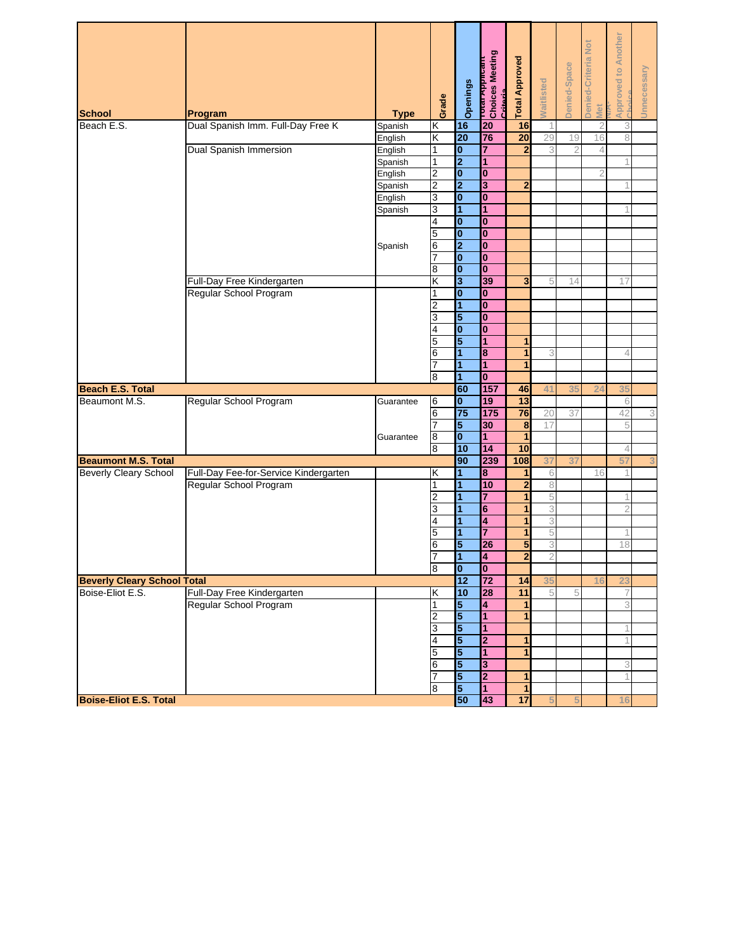| <b>Approved to Another</b><br>Denied-Criteria Not<br><mark>רטיפו א</mark> וטונים<br>Choices Meeting<br><b>Total Approved</b><br>Denied-Space<br>Unnecessary<br>Waitlisted<br>Openings<br>Critoria<br>Grade<br>Met<br><b>School</b><br>Program<br><b>Type</b><br>Dual Spanish Imm. Full-Day Free K<br>Beach E.S.<br>16<br>20<br>16<br>Spanish<br>Κ<br>$\overline{2}$<br>K<br>20<br>76<br>$\overline{20}$<br>29<br>19<br>English<br>16<br>8<br><b>Dual Spanish Immersion</b><br>0<br>1<br>7<br>English<br>$\mathbf{2}$<br>3<br>2<br>4<br>$\overline{2}$<br>$\overline{1}$<br>1<br>Spanish<br>$\overline{2}$<br>$\bf{0}$<br>$\bf{0}$<br>English<br>$\overline{2}$<br>2<br>3<br>$\overline{2}$<br>Spanish<br>3<br>$\bf{0}$<br>$\bf{0}$<br>English<br>3<br>1<br>1<br>Spanish<br>4<br>$\bf{0}$<br>$\mathbf{0}$<br>$\overline{\mathbf{0}}$<br>5<br>$\mathbf{0}$<br>2<br>6<br>$\bf{0}$<br>Spanish<br>$\mathbf{0}$<br>$\bf{0}$<br>7<br>$\overline{\mathbf{0}}$<br>$\mathbf{0}$<br>8<br>Full-Day Free Kindergarten<br>Κ<br>3<br>39<br>3<br>5<br>14<br>17<br>Regular School Program<br>0<br>$\bf{0}$<br>1<br>$\overline{1}$<br>$\mathbf{0}$<br>2<br>5<br>$\bf{0}$<br>3<br>$\bf{0}$<br>$\bf{0}$<br>4<br>5<br>5<br>1<br>1<br>8<br>6<br>1<br>1<br>3<br>4<br>1<br>$\mathbf{1}$<br>1<br>$\overline{1}$<br>$\mathbf{0}$<br>8<br>60<br>157<br><b>Beach E.S. Total</b><br>46<br>41<br>35<br>35<br>24<br>$\overline{\mathbf{0}}$<br>13<br>Beaumont M.S.<br>Regular School Program<br>19<br>6<br>Guarantee<br>6<br>75<br>175<br>76<br>6<br>20<br>37<br>3<br>42<br>$\overline{7}$<br>5<br>30<br>8<br>17<br>$\bf{0}$<br>1<br>8<br>1<br>Guarantee<br>10<br>$\overline{14}$<br>10<br>8<br>4<br>90<br>239<br>3<br><b>Beaumont M.S. Total</b><br>108<br>37<br>37<br>57<br><b>Beverly Cleary School</b><br>1<br>8<br>Full-Day Fee-for-Service Kindergarten<br>Κ<br>6<br>1<br>16<br>10<br>$\overline{\mathbf{c}}$<br>8<br>Regular School Program<br>1<br>1<br>1<br>7<br>5<br>2<br>1<br>3<br>1<br>6<br>3<br>1<br>4<br>3<br>4<br>1<br>1<br>5<br>7<br>5<br>1<br>1<br>5<br>5<br>3<br>26<br>18<br>6<br>$\overline{2}$<br>$\overline{1}$<br>$\overline{\mathbf{A}}$<br>$\overline{2}$<br>8<br>$\overline{\mathbf{0}}$<br>$\overline{\mathbf{0}}$<br>12<br>$\overline{72}$<br><b>Beverly Cleary School Total</b><br>14<br>35<br>23<br>Boise-Eliot E.S.<br>10<br>Full-Day Free Kindergarten<br>Κ<br>28<br>$\overline{11}$<br>5<br>5<br>Regular School Program<br>5<br>1<br>4<br>3<br>1<br>5<br>1<br>1<br>2<br>5<br>$\overline{1}$<br>3<br>5<br>4<br>2<br>1<br>5<br>1<br>5<br>1<br>$\overline{\mathbf{5}}$<br>3<br>6<br>3<br>5<br>2<br>7<br>1<br>5<br>8<br>1<br>1<br><b>Boise-Eliot E.S. Total</b><br>50<br>43<br>$\overline{17}$<br>16 |  |  |  |  |  |  |
|---------------------------------------------------------------------------------------------------------------------------------------------------------------------------------------------------------------------------------------------------------------------------------------------------------------------------------------------------------------------------------------------------------------------------------------------------------------------------------------------------------------------------------------------------------------------------------------------------------------------------------------------------------------------------------------------------------------------------------------------------------------------------------------------------------------------------------------------------------------------------------------------------------------------------------------------------------------------------------------------------------------------------------------------------------------------------------------------------------------------------------------------------------------------------------------------------------------------------------------------------------------------------------------------------------------------------------------------------------------------------------------------------------------------------------------------------------------------------------------------------------------------------------------------------------------------------------------------------------------------------------------------------------------------------------------------------------------------------------------------------------------------------------------------------------------------------------------------------------------------------------------------------------------------------------------------------------------------------------------------------------------------------------------------------------------------------------------------------------------------------------------------------------------------------------------------------------------------------------------------------------------------------------------------------------------------------------------------------------------------------------------------------------------------------------------------------------------------------------------------------------------------------------------------------------------------------------------------------------------------------------------------------------------------------------------------------|--|--|--|--|--|--|
|                                                                                                                                                                                                                                                                                                                                                                                                                                                                                                                                                                                                                                                                                                                                                                                                                                                                                                                                                                                                                                                                                                                                                                                                                                                                                                                                                                                                                                                                                                                                                                                                                                                                                                                                                                                                                                                                                                                                                                                                                                                                                                                                                                                                                                                                                                                                                                                                                                                                                                                                                                                                                                                                                                   |  |  |  |  |  |  |
|                                                                                                                                                                                                                                                                                                                                                                                                                                                                                                                                                                                                                                                                                                                                                                                                                                                                                                                                                                                                                                                                                                                                                                                                                                                                                                                                                                                                                                                                                                                                                                                                                                                                                                                                                                                                                                                                                                                                                                                                                                                                                                                                                                                                                                                                                                                                                                                                                                                                                                                                                                                                                                                                                                   |  |  |  |  |  |  |
|                                                                                                                                                                                                                                                                                                                                                                                                                                                                                                                                                                                                                                                                                                                                                                                                                                                                                                                                                                                                                                                                                                                                                                                                                                                                                                                                                                                                                                                                                                                                                                                                                                                                                                                                                                                                                                                                                                                                                                                                                                                                                                                                                                                                                                                                                                                                                                                                                                                                                                                                                                                                                                                                                                   |  |  |  |  |  |  |
|                                                                                                                                                                                                                                                                                                                                                                                                                                                                                                                                                                                                                                                                                                                                                                                                                                                                                                                                                                                                                                                                                                                                                                                                                                                                                                                                                                                                                                                                                                                                                                                                                                                                                                                                                                                                                                                                                                                                                                                                                                                                                                                                                                                                                                                                                                                                                                                                                                                                                                                                                                                                                                                                                                   |  |  |  |  |  |  |
|                                                                                                                                                                                                                                                                                                                                                                                                                                                                                                                                                                                                                                                                                                                                                                                                                                                                                                                                                                                                                                                                                                                                                                                                                                                                                                                                                                                                                                                                                                                                                                                                                                                                                                                                                                                                                                                                                                                                                                                                                                                                                                                                                                                                                                                                                                                                                                                                                                                                                                                                                                                                                                                                                                   |  |  |  |  |  |  |
|                                                                                                                                                                                                                                                                                                                                                                                                                                                                                                                                                                                                                                                                                                                                                                                                                                                                                                                                                                                                                                                                                                                                                                                                                                                                                                                                                                                                                                                                                                                                                                                                                                                                                                                                                                                                                                                                                                                                                                                                                                                                                                                                                                                                                                                                                                                                                                                                                                                                                                                                                                                                                                                                                                   |  |  |  |  |  |  |
|                                                                                                                                                                                                                                                                                                                                                                                                                                                                                                                                                                                                                                                                                                                                                                                                                                                                                                                                                                                                                                                                                                                                                                                                                                                                                                                                                                                                                                                                                                                                                                                                                                                                                                                                                                                                                                                                                                                                                                                                                                                                                                                                                                                                                                                                                                                                                                                                                                                                                                                                                                                                                                                                                                   |  |  |  |  |  |  |
|                                                                                                                                                                                                                                                                                                                                                                                                                                                                                                                                                                                                                                                                                                                                                                                                                                                                                                                                                                                                                                                                                                                                                                                                                                                                                                                                                                                                                                                                                                                                                                                                                                                                                                                                                                                                                                                                                                                                                                                                                                                                                                                                                                                                                                                                                                                                                                                                                                                                                                                                                                                                                                                                                                   |  |  |  |  |  |  |
|                                                                                                                                                                                                                                                                                                                                                                                                                                                                                                                                                                                                                                                                                                                                                                                                                                                                                                                                                                                                                                                                                                                                                                                                                                                                                                                                                                                                                                                                                                                                                                                                                                                                                                                                                                                                                                                                                                                                                                                                                                                                                                                                                                                                                                                                                                                                                                                                                                                                                                                                                                                                                                                                                                   |  |  |  |  |  |  |
|                                                                                                                                                                                                                                                                                                                                                                                                                                                                                                                                                                                                                                                                                                                                                                                                                                                                                                                                                                                                                                                                                                                                                                                                                                                                                                                                                                                                                                                                                                                                                                                                                                                                                                                                                                                                                                                                                                                                                                                                                                                                                                                                                                                                                                                                                                                                                                                                                                                                                                                                                                                                                                                                                                   |  |  |  |  |  |  |
|                                                                                                                                                                                                                                                                                                                                                                                                                                                                                                                                                                                                                                                                                                                                                                                                                                                                                                                                                                                                                                                                                                                                                                                                                                                                                                                                                                                                                                                                                                                                                                                                                                                                                                                                                                                                                                                                                                                                                                                                                                                                                                                                                                                                                                                                                                                                                                                                                                                                                                                                                                                                                                                                                                   |  |  |  |  |  |  |
|                                                                                                                                                                                                                                                                                                                                                                                                                                                                                                                                                                                                                                                                                                                                                                                                                                                                                                                                                                                                                                                                                                                                                                                                                                                                                                                                                                                                                                                                                                                                                                                                                                                                                                                                                                                                                                                                                                                                                                                                                                                                                                                                                                                                                                                                                                                                                                                                                                                                                                                                                                                                                                                                                                   |  |  |  |  |  |  |
|                                                                                                                                                                                                                                                                                                                                                                                                                                                                                                                                                                                                                                                                                                                                                                                                                                                                                                                                                                                                                                                                                                                                                                                                                                                                                                                                                                                                                                                                                                                                                                                                                                                                                                                                                                                                                                                                                                                                                                                                                                                                                                                                                                                                                                                                                                                                                                                                                                                                                                                                                                                                                                                                                                   |  |  |  |  |  |  |
|                                                                                                                                                                                                                                                                                                                                                                                                                                                                                                                                                                                                                                                                                                                                                                                                                                                                                                                                                                                                                                                                                                                                                                                                                                                                                                                                                                                                                                                                                                                                                                                                                                                                                                                                                                                                                                                                                                                                                                                                                                                                                                                                                                                                                                                                                                                                                                                                                                                                                                                                                                                                                                                                                                   |  |  |  |  |  |  |
|                                                                                                                                                                                                                                                                                                                                                                                                                                                                                                                                                                                                                                                                                                                                                                                                                                                                                                                                                                                                                                                                                                                                                                                                                                                                                                                                                                                                                                                                                                                                                                                                                                                                                                                                                                                                                                                                                                                                                                                                                                                                                                                                                                                                                                                                                                                                                                                                                                                                                                                                                                                                                                                                                                   |  |  |  |  |  |  |
|                                                                                                                                                                                                                                                                                                                                                                                                                                                                                                                                                                                                                                                                                                                                                                                                                                                                                                                                                                                                                                                                                                                                                                                                                                                                                                                                                                                                                                                                                                                                                                                                                                                                                                                                                                                                                                                                                                                                                                                                                                                                                                                                                                                                                                                                                                                                                                                                                                                                                                                                                                                                                                                                                                   |  |  |  |  |  |  |
|                                                                                                                                                                                                                                                                                                                                                                                                                                                                                                                                                                                                                                                                                                                                                                                                                                                                                                                                                                                                                                                                                                                                                                                                                                                                                                                                                                                                                                                                                                                                                                                                                                                                                                                                                                                                                                                                                                                                                                                                                                                                                                                                                                                                                                                                                                                                                                                                                                                                                                                                                                                                                                                                                                   |  |  |  |  |  |  |
|                                                                                                                                                                                                                                                                                                                                                                                                                                                                                                                                                                                                                                                                                                                                                                                                                                                                                                                                                                                                                                                                                                                                                                                                                                                                                                                                                                                                                                                                                                                                                                                                                                                                                                                                                                                                                                                                                                                                                                                                                                                                                                                                                                                                                                                                                                                                                                                                                                                                                                                                                                                                                                                                                                   |  |  |  |  |  |  |
|                                                                                                                                                                                                                                                                                                                                                                                                                                                                                                                                                                                                                                                                                                                                                                                                                                                                                                                                                                                                                                                                                                                                                                                                                                                                                                                                                                                                                                                                                                                                                                                                                                                                                                                                                                                                                                                                                                                                                                                                                                                                                                                                                                                                                                                                                                                                                                                                                                                                                                                                                                                                                                                                                                   |  |  |  |  |  |  |
|                                                                                                                                                                                                                                                                                                                                                                                                                                                                                                                                                                                                                                                                                                                                                                                                                                                                                                                                                                                                                                                                                                                                                                                                                                                                                                                                                                                                                                                                                                                                                                                                                                                                                                                                                                                                                                                                                                                                                                                                                                                                                                                                                                                                                                                                                                                                                                                                                                                                                                                                                                                                                                                                                                   |  |  |  |  |  |  |
|                                                                                                                                                                                                                                                                                                                                                                                                                                                                                                                                                                                                                                                                                                                                                                                                                                                                                                                                                                                                                                                                                                                                                                                                                                                                                                                                                                                                                                                                                                                                                                                                                                                                                                                                                                                                                                                                                                                                                                                                                                                                                                                                                                                                                                                                                                                                                                                                                                                                                                                                                                                                                                                                                                   |  |  |  |  |  |  |
|                                                                                                                                                                                                                                                                                                                                                                                                                                                                                                                                                                                                                                                                                                                                                                                                                                                                                                                                                                                                                                                                                                                                                                                                                                                                                                                                                                                                                                                                                                                                                                                                                                                                                                                                                                                                                                                                                                                                                                                                                                                                                                                                                                                                                                                                                                                                                                                                                                                                                                                                                                                                                                                                                                   |  |  |  |  |  |  |
|                                                                                                                                                                                                                                                                                                                                                                                                                                                                                                                                                                                                                                                                                                                                                                                                                                                                                                                                                                                                                                                                                                                                                                                                                                                                                                                                                                                                                                                                                                                                                                                                                                                                                                                                                                                                                                                                                                                                                                                                                                                                                                                                                                                                                                                                                                                                                                                                                                                                                                                                                                                                                                                                                                   |  |  |  |  |  |  |
|                                                                                                                                                                                                                                                                                                                                                                                                                                                                                                                                                                                                                                                                                                                                                                                                                                                                                                                                                                                                                                                                                                                                                                                                                                                                                                                                                                                                                                                                                                                                                                                                                                                                                                                                                                                                                                                                                                                                                                                                                                                                                                                                                                                                                                                                                                                                                                                                                                                                                                                                                                                                                                                                                                   |  |  |  |  |  |  |
|                                                                                                                                                                                                                                                                                                                                                                                                                                                                                                                                                                                                                                                                                                                                                                                                                                                                                                                                                                                                                                                                                                                                                                                                                                                                                                                                                                                                                                                                                                                                                                                                                                                                                                                                                                                                                                                                                                                                                                                                                                                                                                                                                                                                                                                                                                                                                                                                                                                                                                                                                                                                                                                                                                   |  |  |  |  |  |  |
|                                                                                                                                                                                                                                                                                                                                                                                                                                                                                                                                                                                                                                                                                                                                                                                                                                                                                                                                                                                                                                                                                                                                                                                                                                                                                                                                                                                                                                                                                                                                                                                                                                                                                                                                                                                                                                                                                                                                                                                                                                                                                                                                                                                                                                                                                                                                                                                                                                                                                                                                                                                                                                                                                                   |  |  |  |  |  |  |
|                                                                                                                                                                                                                                                                                                                                                                                                                                                                                                                                                                                                                                                                                                                                                                                                                                                                                                                                                                                                                                                                                                                                                                                                                                                                                                                                                                                                                                                                                                                                                                                                                                                                                                                                                                                                                                                                                                                                                                                                                                                                                                                                                                                                                                                                                                                                                                                                                                                                                                                                                                                                                                                                                                   |  |  |  |  |  |  |
|                                                                                                                                                                                                                                                                                                                                                                                                                                                                                                                                                                                                                                                                                                                                                                                                                                                                                                                                                                                                                                                                                                                                                                                                                                                                                                                                                                                                                                                                                                                                                                                                                                                                                                                                                                                                                                                                                                                                                                                                                                                                                                                                                                                                                                                                                                                                                                                                                                                                                                                                                                                                                                                                                                   |  |  |  |  |  |  |
|                                                                                                                                                                                                                                                                                                                                                                                                                                                                                                                                                                                                                                                                                                                                                                                                                                                                                                                                                                                                                                                                                                                                                                                                                                                                                                                                                                                                                                                                                                                                                                                                                                                                                                                                                                                                                                                                                                                                                                                                                                                                                                                                                                                                                                                                                                                                                                                                                                                                                                                                                                                                                                                                                                   |  |  |  |  |  |  |
|                                                                                                                                                                                                                                                                                                                                                                                                                                                                                                                                                                                                                                                                                                                                                                                                                                                                                                                                                                                                                                                                                                                                                                                                                                                                                                                                                                                                                                                                                                                                                                                                                                                                                                                                                                                                                                                                                                                                                                                                                                                                                                                                                                                                                                                                                                                                                                                                                                                                                                                                                                                                                                                                                                   |  |  |  |  |  |  |
|                                                                                                                                                                                                                                                                                                                                                                                                                                                                                                                                                                                                                                                                                                                                                                                                                                                                                                                                                                                                                                                                                                                                                                                                                                                                                                                                                                                                                                                                                                                                                                                                                                                                                                                                                                                                                                                                                                                                                                                                                                                                                                                                                                                                                                                                                                                                                                                                                                                                                                                                                                                                                                                                                                   |  |  |  |  |  |  |
|                                                                                                                                                                                                                                                                                                                                                                                                                                                                                                                                                                                                                                                                                                                                                                                                                                                                                                                                                                                                                                                                                                                                                                                                                                                                                                                                                                                                                                                                                                                                                                                                                                                                                                                                                                                                                                                                                                                                                                                                                                                                                                                                                                                                                                                                                                                                                                                                                                                                                                                                                                                                                                                                                                   |  |  |  |  |  |  |
|                                                                                                                                                                                                                                                                                                                                                                                                                                                                                                                                                                                                                                                                                                                                                                                                                                                                                                                                                                                                                                                                                                                                                                                                                                                                                                                                                                                                                                                                                                                                                                                                                                                                                                                                                                                                                                                                                                                                                                                                                                                                                                                                                                                                                                                                                                                                                                                                                                                                                                                                                                                                                                                                                                   |  |  |  |  |  |  |
|                                                                                                                                                                                                                                                                                                                                                                                                                                                                                                                                                                                                                                                                                                                                                                                                                                                                                                                                                                                                                                                                                                                                                                                                                                                                                                                                                                                                                                                                                                                                                                                                                                                                                                                                                                                                                                                                                                                                                                                                                                                                                                                                                                                                                                                                                                                                                                                                                                                                                                                                                                                                                                                                                                   |  |  |  |  |  |  |
|                                                                                                                                                                                                                                                                                                                                                                                                                                                                                                                                                                                                                                                                                                                                                                                                                                                                                                                                                                                                                                                                                                                                                                                                                                                                                                                                                                                                                                                                                                                                                                                                                                                                                                                                                                                                                                                                                                                                                                                                                                                                                                                                                                                                                                                                                                                                                                                                                                                                                                                                                                                                                                                                                                   |  |  |  |  |  |  |
|                                                                                                                                                                                                                                                                                                                                                                                                                                                                                                                                                                                                                                                                                                                                                                                                                                                                                                                                                                                                                                                                                                                                                                                                                                                                                                                                                                                                                                                                                                                                                                                                                                                                                                                                                                                                                                                                                                                                                                                                                                                                                                                                                                                                                                                                                                                                                                                                                                                                                                                                                                                                                                                                                                   |  |  |  |  |  |  |
|                                                                                                                                                                                                                                                                                                                                                                                                                                                                                                                                                                                                                                                                                                                                                                                                                                                                                                                                                                                                                                                                                                                                                                                                                                                                                                                                                                                                                                                                                                                                                                                                                                                                                                                                                                                                                                                                                                                                                                                                                                                                                                                                                                                                                                                                                                                                                                                                                                                                                                                                                                                                                                                                                                   |  |  |  |  |  |  |
|                                                                                                                                                                                                                                                                                                                                                                                                                                                                                                                                                                                                                                                                                                                                                                                                                                                                                                                                                                                                                                                                                                                                                                                                                                                                                                                                                                                                                                                                                                                                                                                                                                                                                                                                                                                                                                                                                                                                                                                                                                                                                                                                                                                                                                                                                                                                                                                                                                                                                                                                                                                                                                                                                                   |  |  |  |  |  |  |
|                                                                                                                                                                                                                                                                                                                                                                                                                                                                                                                                                                                                                                                                                                                                                                                                                                                                                                                                                                                                                                                                                                                                                                                                                                                                                                                                                                                                                                                                                                                                                                                                                                                                                                                                                                                                                                                                                                                                                                                                                                                                                                                                                                                                                                                                                                                                                                                                                                                                                                                                                                                                                                                                                                   |  |  |  |  |  |  |
|                                                                                                                                                                                                                                                                                                                                                                                                                                                                                                                                                                                                                                                                                                                                                                                                                                                                                                                                                                                                                                                                                                                                                                                                                                                                                                                                                                                                                                                                                                                                                                                                                                                                                                                                                                                                                                                                                                                                                                                                                                                                                                                                                                                                                                                                                                                                                                                                                                                                                                                                                                                                                                                                                                   |  |  |  |  |  |  |
|                                                                                                                                                                                                                                                                                                                                                                                                                                                                                                                                                                                                                                                                                                                                                                                                                                                                                                                                                                                                                                                                                                                                                                                                                                                                                                                                                                                                                                                                                                                                                                                                                                                                                                                                                                                                                                                                                                                                                                                                                                                                                                                                                                                                                                                                                                                                                                                                                                                                                                                                                                                                                                                                                                   |  |  |  |  |  |  |
|                                                                                                                                                                                                                                                                                                                                                                                                                                                                                                                                                                                                                                                                                                                                                                                                                                                                                                                                                                                                                                                                                                                                                                                                                                                                                                                                                                                                                                                                                                                                                                                                                                                                                                                                                                                                                                                                                                                                                                                                                                                                                                                                                                                                                                                                                                                                                                                                                                                                                                                                                                                                                                                                                                   |  |  |  |  |  |  |
|                                                                                                                                                                                                                                                                                                                                                                                                                                                                                                                                                                                                                                                                                                                                                                                                                                                                                                                                                                                                                                                                                                                                                                                                                                                                                                                                                                                                                                                                                                                                                                                                                                                                                                                                                                                                                                                                                                                                                                                                                                                                                                                                                                                                                                                                                                                                                                                                                                                                                                                                                                                                                                                                                                   |  |  |  |  |  |  |
|                                                                                                                                                                                                                                                                                                                                                                                                                                                                                                                                                                                                                                                                                                                                                                                                                                                                                                                                                                                                                                                                                                                                                                                                                                                                                                                                                                                                                                                                                                                                                                                                                                                                                                                                                                                                                                                                                                                                                                                                                                                                                                                                                                                                                                                                                                                                                                                                                                                                                                                                                                                                                                                                                                   |  |  |  |  |  |  |
|                                                                                                                                                                                                                                                                                                                                                                                                                                                                                                                                                                                                                                                                                                                                                                                                                                                                                                                                                                                                                                                                                                                                                                                                                                                                                                                                                                                                                                                                                                                                                                                                                                                                                                                                                                                                                                                                                                                                                                                                                                                                                                                                                                                                                                                                                                                                                                                                                                                                                                                                                                                                                                                                                                   |  |  |  |  |  |  |
|                                                                                                                                                                                                                                                                                                                                                                                                                                                                                                                                                                                                                                                                                                                                                                                                                                                                                                                                                                                                                                                                                                                                                                                                                                                                                                                                                                                                                                                                                                                                                                                                                                                                                                                                                                                                                                                                                                                                                                                                                                                                                                                                                                                                                                                                                                                                                                                                                                                                                                                                                                                                                                                                                                   |  |  |  |  |  |  |
|                                                                                                                                                                                                                                                                                                                                                                                                                                                                                                                                                                                                                                                                                                                                                                                                                                                                                                                                                                                                                                                                                                                                                                                                                                                                                                                                                                                                                                                                                                                                                                                                                                                                                                                                                                                                                                                                                                                                                                                                                                                                                                                                                                                                                                                                                                                                                                                                                                                                                                                                                                                                                                                                                                   |  |  |  |  |  |  |
|                                                                                                                                                                                                                                                                                                                                                                                                                                                                                                                                                                                                                                                                                                                                                                                                                                                                                                                                                                                                                                                                                                                                                                                                                                                                                                                                                                                                                                                                                                                                                                                                                                                                                                                                                                                                                                                                                                                                                                                                                                                                                                                                                                                                                                                                                                                                                                                                                                                                                                                                                                                                                                                                                                   |  |  |  |  |  |  |
|                                                                                                                                                                                                                                                                                                                                                                                                                                                                                                                                                                                                                                                                                                                                                                                                                                                                                                                                                                                                                                                                                                                                                                                                                                                                                                                                                                                                                                                                                                                                                                                                                                                                                                                                                                                                                                                                                                                                                                                                                                                                                                                                                                                                                                                                                                                                                                                                                                                                                                                                                                                                                                                                                                   |  |  |  |  |  |  |
|                                                                                                                                                                                                                                                                                                                                                                                                                                                                                                                                                                                                                                                                                                                                                                                                                                                                                                                                                                                                                                                                                                                                                                                                                                                                                                                                                                                                                                                                                                                                                                                                                                                                                                                                                                                                                                                                                                                                                                                                                                                                                                                                                                                                                                                                                                                                                                                                                                                                                                                                                                                                                                                                                                   |  |  |  |  |  |  |
|                                                                                                                                                                                                                                                                                                                                                                                                                                                                                                                                                                                                                                                                                                                                                                                                                                                                                                                                                                                                                                                                                                                                                                                                                                                                                                                                                                                                                                                                                                                                                                                                                                                                                                                                                                                                                                                                                                                                                                                                                                                                                                                                                                                                                                                                                                                                                                                                                                                                                                                                                                                                                                                                                                   |  |  |  |  |  |  |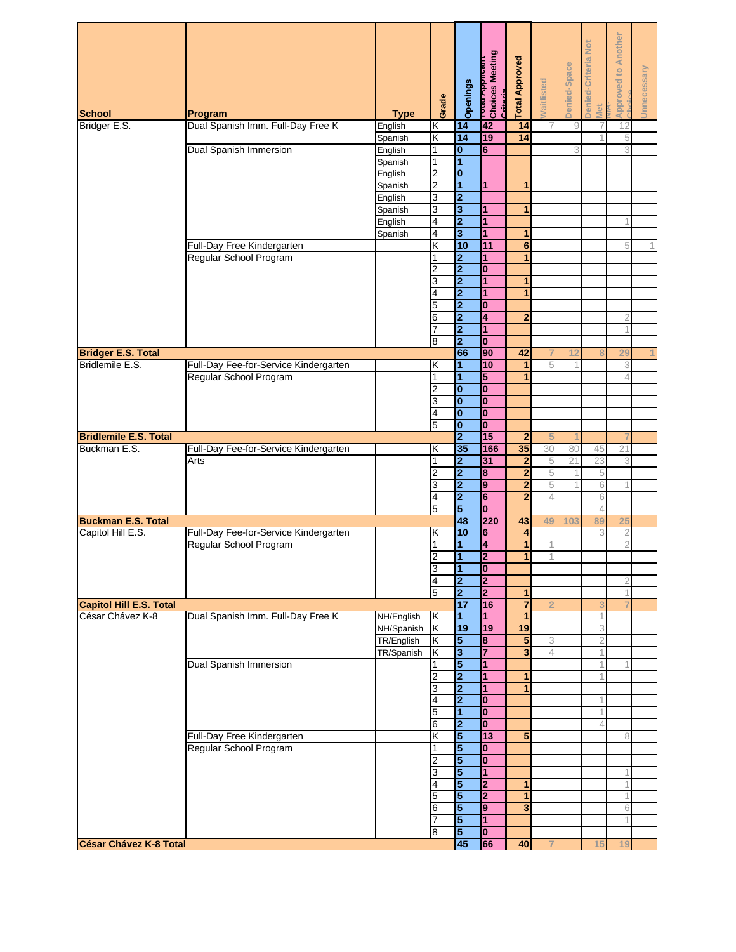| <b>School</b>                  | Program                               | <b>Type</b>              | Grade               | Openings                                           | וסטונפs Meeting<br>Choices Meeting<br><b>Criticario</b> | <b>Total Approved</b>          | <b>Naitlisted</b> | Denied-Space | Denied-Criteria Not<br>Met | <b>Approved to Another</b> | Unnecessary |
|--------------------------------|---------------------------------------|--------------------------|---------------------|----------------------------------------------------|---------------------------------------------------------|--------------------------------|-------------------|--------------|----------------------------|----------------------------|-------------|
| Bridger E.S.                   | Dual Spanish Imm. Full-Day Free K     | English                  | Κ                   | 14                                                 | 42                                                      | 14                             | 7                 | $\hbox{9}$   |                            | 12                         |             |
|                                |                                       | Spanish                  | Κ                   | 14                                                 | 19                                                      | 14                             |                   |              |                            | 5                          |             |
|                                | <b>Dual Spanish Immersion</b>         | English<br>Spanish       | 1<br>1              | $\bf{0}$<br>1                                      | 6                                                       |                                |                   | 3            |                            | 3                          |             |
|                                |                                       | English                  | $\overline{2}$      | $\bf{0}$                                           |                                                         |                                |                   |              |                            |                            |             |
|                                |                                       | Spanish                  | $\overline{2}$      | 1                                                  | 1                                                       | 1                              |                   |              |                            |                            |             |
|                                |                                       | English                  | 3                   | $\overline{2}$                                     |                                                         |                                |                   |              |                            |                            |             |
|                                |                                       | Spanish                  | 3                   | 3                                                  | 1                                                       | 1                              |                   |              |                            |                            |             |
|                                |                                       | English                  | 4                   | $\overline{2}$                                     | 1                                                       |                                |                   |              |                            |                            |             |
|                                | Full-Day Free Kindergarten            | Spanish                  | 4<br>Κ              | 3<br>10                                            | $\mathbf{1}$<br>11                                      | 1<br>6                         |                   |              |                            | 5                          | 1           |
|                                | Regular School Program                |                          | 1                   | $\overline{\mathbf{2}}$                            | 1                                                       |                                |                   |              |                            |                            |             |
|                                |                                       |                          | 2                   | $\overline{\mathbf{2}}$                            | $\bf{0}$                                                |                                |                   |              |                            |                            |             |
|                                |                                       |                          | 3                   | $\overline{\mathbf{2}}$                            | 1                                                       | 1                              |                   |              |                            |                            |             |
|                                |                                       |                          | 4                   | $\overline{2}$                                     | $\overline{1}$                                          | 1                              |                   |              |                            |                            |             |
|                                |                                       |                          | 5                   | $\overline{\mathbf{2}}$                            | $\bf{0}$                                                |                                |                   |              |                            |                            |             |
|                                |                                       |                          | 6<br>$\overline{7}$ | $\overline{\mathbf{2}}$<br>$\overline{2}$          | 4<br>$\overline{1}$                                     | $\overline{2}$                 |                   |              |                            | 2                          |             |
|                                |                                       |                          | 8                   | $\overline{2}$                                     | $\mathbf{0}$                                            |                                |                   |              |                            |                            |             |
| <b>Bridger E.S. Total</b>      |                                       |                          |                     | 66                                                 | 90                                                      | 42                             |                   | 12           |                            | 29                         |             |
| Bridlemile E.S.                | Full-Day Fee-for-Service Kindergarten |                          | Κ                   | 1                                                  | 10                                                      | 1                              | 5                 | 1            |                            | 3                          |             |
|                                | Regular School Program                |                          | 1                   | 1                                                  | 5                                                       | 1                              |                   |              |                            |                            |             |
|                                |                                       |                          | 2                   | $\bf{0}$<br>$\overline{\mathbf{0}}$                | $\bf{0}$<br>$\overline{\mathbf{0}}$                     |                                |                   |              |                            |                            |             |
|                                |                                       |                          | 3<br>4              | $\bf{0}$                                           | $\bf{0}$                                                |                                |                   |              |                            |                            |             |
|                                |                                       |                          | 5                   | O                                                  | $\mathbf{0}$                                            |                                |                   |              |                            |                            |             |
| <b>Bridlemile E.S. Total</b>   |                                       |                          |                     | $\overline{2}$                                     | 15                                                      | $\overline{2}$                 | 5                 |              |                            |                            |             |
| Buckman E.S.                   | Full-Day Fee-for-Service Kindergarten |                          | Κ                   | 35                                                 | 166                                                     | 35                             | 30                | 80           | 45                         | 21                         |             |
|                                | Arts                                  |                          | 1                   | $\overline{\mathbf{2}}$                            | 31                                                      | $\overline{2}$                 | 5                 | 21           | 23                         | 3                          |             |
|                                |                                       |                          | 2<br>3              | $\overline{\mathbf{2}}$<br>$\overline{\mathbf{2}}$ | 8<br>9                                                  | $\overline{2}$<br>$\mathbf{2}$ | 5<br>5            | 1            | 5<br>6                     |                            |             |
|                                |                                       |                          | 4                   | $\overline{\mathbf{2}}$                            | $6\phantom{a}$                                          | $\overline{2}$                 | 4                 |              | 6                          |                            |             |
|                                |                                       |                          | 5                   | 5                                                  | $\overline{\mathbf{0}}$                                 |                                |                   |              | 4                          |                            |             |
| <b>Buckman E.S. Total</b>      |                                       |                          |                     | 48                                                 | 220                                                     | 43                             | 49                | 103          | 89                         | 25                         |             |
| Capitol Hill E.S.              | Full-Day Fee-for-Service Kindergarten |                          | Κ                   | 10                                                 | 6                                                       | 4                              |                   |              | 3                          | $\overline{2}$             |             |
|                                | Regular School Program                |                          | 1<br>$\overline{2}$ | 1                                                  | 4<br>$\overline{2}$                                     | 1<br>1                         | 1<br>1            |              |                            | $\overline{2}$             |             |
|                                |                                       |                          | 3                   | 1<br>1                                             | l0                                                      |                                |                   |              |                            |                            |             |
|                                |                                       |                          | 4                   | $\overline{2}$                                     | $\overline{2}$                                          |                                |                   |              |                            | 2                          |             |
|                                |                                       |                          | 5                   | $\overline{2}$                                     | $\overline{\mathbf{2}}$                                 | 1                              |                   |              |                            |                            |             |
| <b>Capitol Hill E.S. Total</b> |                                       |                          |                     | 17                                                 | 16                                                      | $\overline{7}$                 |                   |              |                            |                            |             |
| César Chávez K-8               | Dual Spanish Imm. Full-Day Free K     | NH/English               | Κ                   | $\overline{1}$<br>19                               | $\mathbf{1}$                                            | 1                              |                   |              | 1                          |                            |             |
|                                |                                       | NH/Spanish<br>TR/English | Κ<br>Κ              | 5                                                  | 19<br>8                                                 | 19<br>5                        | 3                 |              | 3<br>2                     |                            |             |
|                                |                                       | TR/Spanish               | Κ                   | 3                                                  | $\overline{7}$                                          | 3                              | 4                 |              |                            |                            |             |
|                                | Dual Spanish Immersion                |                          | 1                   | 5                                                  | 1                                                       |                                |                   |              |                            |                            |             |
|                                |                                       |                          | 2                   | $\overline{\mathbf{2}}$                            | 1                                                       | 1                              |                   |              |                            |                            |             |
|                                |                                       |                          | 3                   | $\overline{\mathbf{2}}$                            | $\overline{1}$                                          | 1                              |                   |              |                            |                            |             |
|                                |                                       |                          | 4<br>5              | $\overline{\mathbf{2}}$<br>1                       | O<br>$\bf{0}$                                           |                                |                   |              |                            |                            |             |
|                                |                                       |                          | 6                   | $\overline{\mathbf{2}}$                            | $\mathbf{0}$                                            |                                |                   |              |                            |                            |             |
|                                | Full-Day Free Kindergarten            |                          | Κ                   | 5                                                  | 13                                                      | 5                              |                   |              |                            | 8                          |             |
|                                | Regular School Program                |                          | 1                   | 5                                                  | $\mathbf{0}$                                            |                                |                   |              |                            |                            |             |
|                                |                                       |                          | 2                   | 5                                                  | $\mathbf{0}$                                            |                                |                   |              |                            |                            |             |
|                                |                                       |                          | 3                   | 5                                                  | 1<br>$\overline{\mathbf{2}}$                            | 1                              |                   |              |                            |                            |             |
|                                |                                       |                          | 4<br>5              | 5<br>5                                             | $\overline{2}$                                          | 1                              |                   |              |                            |                            |             |
|                                |                                       |                          | 6                   | 5                                                  | 9                                                       | 3                              |                   |              |                            | 6                          |             |
|                                |                                       |                          | 7                   | 5                                                  | 1                                                       |                                |                   |              |                            |                            |             |
|                                |                                       |                          | 8                   | $5\overline{5}$                                    | 0                                                       |                                |                   |              |                            |                            |             |
| <b>César Chávez K-8 Total</b>  |                                       |                          |                     | 45                                                 | 66                                                      | 40                             |                   |              |                            |                            |             |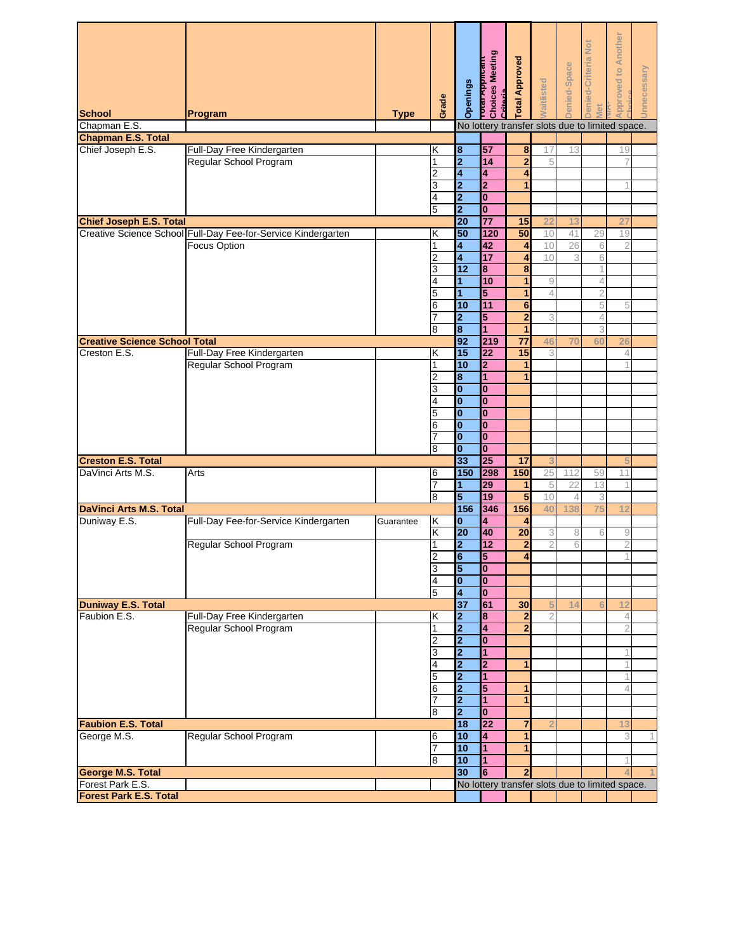| <b>School</b>                                        | Program                                                       | <b>Type</b> | Grade          | Openings                         | <b>Total Applicant</b><br>Choices Meeting<br>Critoria | Total Approved          | Vaitlisted     | Denied-Space | Jenied-Criteria Not<br>Vlet | <b>Approved to Another</b>                      | Jnnecessary |
|------------------------------------------------------|---------------------------------------------------------------|-------------|----------------|----------------------------------|-------------------------------------------------------|-------------------------|----------------|--------------|-----------------------------|-------------------------------------------------|-------------|
| Chapman E.S.                                         |                                                               |             |                |                                  |                                                       |                         |                |              |                             | No lottery transfer slots due to limited space. |             |
| <b>Chapman E.S. Total</b>                            |                                                               |             |                |                                  |                                                       |                         |                |              |                             |                                                 |             |
| Chief Joseph E.S.                                    | Full-Day Free Kindergarten                                    |             | Κ              | 8                                | 57                                                    | 8                       | 17             | 13           |                             | 19                                              |             |
|                                                      | Regular School Program                                        |             | 1              | $\overline{\mathbf{2}}$          | 14                                                    | $\overline{2}$          | 5              |              |                             |                                                 |             |
|                                                      |                                                               |             | 2<br>3         | 4<br>$\overline{\mathbf{2}}$     | 4<br>$\overline{\mathbf{2}}$                          | 4                       |                |              |                             |                                                 |             |
|                                                      |                                                               |             | 4              | $\overline{\mathbf{2}}$          | $\bf{0}$                                              |                         |                |              |                             |                                                 |             |
|                                                      |                                                               |             | 5              | $\overline{\mathbf{c}}$          | $\bf{0}$                                              |                         |                |              |                             |                                                 |             |
| Chief Joseph E.S. Total                              |                                                               |             |                | 20                               | $\overline{77}$                                       | 15                      | 22             | 13           |                             | 27                                              |             |
|                                                      | Creative Science School Full-Day Fee-for-Service Kindergarten |             | Κ              | 50                               | 120                                                   | 50                      | 10             | 41           | 29                          | 19                                              |             |
|                                                      | <b>Focus Option</b>                                           |             | 1              | 4                                | 42                                                    | 4                       | 10             | 26           | 6                           | $\overline{2}$                                  |             |
|                                                      |                                                               |             | 2              | 4                                | 17                                                    | 4                       | 10             | 3            | 6                           |                                                 |             |
|                                                      |                                                               |             | 3              | 12                               | $\overline{\mathbf{8}}$                               | $\overline{\mathbf{8}}$ |                |              |                             |                                                 |             |
|                                                      |                                                               |             | 4              | 1                                | 10                                                    | 1                       | 9              |              | 4                           |                                                 |             |
|                                                      |                                                               |             | 5              | 1                                | 5                                                     | 1                       | $\overline{4}$ |              | $\overline{2}$              |                                                 |             |
|                                                      |                                                               |             | 6              | 10                               | 11                                                    | $6\phantom{1}6$         |                |              | 5                           | 5                                               |             |
|                                                      |                                                               |             | 7              | $\overline{\mathbf{2}}$          | 5                                                     | $\overline{\mathbf{c}}$ | 3              |              | $\overline{4}$              |                                                 |             |
|                                                      |                                                               |             | 8              | $\overline{\mathbf{8}}$          | 1                                                     |                         |                |              | 3                           |                                                 |             |
| <b>Creative Science School Total</b><br>Creston E.S. | Full-Day Free Kindergarten                                    |             | Κ              | 92<br>15                         | 219<br>22                                             | $\overline{77}$<br>15   | 46<br>3        | 70           | 60                          | 26<br>4                                         |             |
|                                                      | Regular School Program                                        |             | 1              | 10                               | 2                                                     |                         |                |              |                             |                                                 |             |
|                                                      |                                                               |             | $\overline{2}$ | 8                                | $\overline{1}$                                        | 1                       |                |              |                             |                                                 |             |
|                                                      |                                                               |             | 3              | $\overline{\mathbf{0}}$          | O                                                     |                         |                |              |                             |                                                 |             |
|                                                      |                                                               |             | 4              | $\overline{\mathbf{0}}$          | O                                                     |                         |                |              |                             |                                                 |             |
|                                                      |                                                               |             | 5              | I٥                               | O                                                     |                         |                |              |                             |                                                 |             |
|                                                      |                                                               |             | 6              | lo                               | 0                                                     |                         |                |              |                             |                                                 |             |
|                                                      |                                                               |             |                | I٥                               | $\bf{0}$                                              |                         |                |              |                             |                                                 |             |
|                                                      |                                                               |             | 8              | $\overline{\mathbf{0}}$          | Ō                                                     |                         |                |              |                             |                                                 |             |
| <b>Creston E.S. Total</b><br>DaVinci Arts M.S.       |                                                               |             |                | 33<br>150                        | 25<br>298                                             | 17<br>150               |                |              |                             |                                                 |             |
|                                                      | Arts                                                          |             | 6<br>7         | 1                                | 29                                                    | 1                       | 25<br>5        | 112<br>22    | 59<br>13                    | 11                                              |             |
|                                                      |                                                               |             | 8              | 5                                | 19                                                    | 5                       | 10             | 4            | 3                           |                                                 |             |
| <b>DaVinci Arts M.S. Total</b>                       |                                                               |             |                | 156                              | 346                                                   | 156                     | 40             | 138          | 75                          | 12                                              |             |
| Duniway E.S.                                         | Full-Day Fee-for-Service Kindergarten                         | Guarantee   | Κ              | l0                               | 4                                                     | 4                       |                |              |                             |                                                 |             |
|                                                      |                                                               |             | Κ              | 20                               | 40                                                    | 20                      | 3              | 8            | 6                           | 9                                               |             |
|                                                      | Regular School Program                                        |             | 1              | $\overline{\mathbf{2}}$          | 12                                                    | $\overline{\mathbf{2}}$ | $\overline{2}$ | 6            |                             | $\overline{2}$                                  |             |
|                                                      |                                                               |             | $\mathcal{P}$  | $\overline{6}$                   | 5                                                     | $\overline{4}$          |                |              |                             |                                                 |             |
|                                                      |                                                               |             | 3              | 5                                | Тo                                                    |                         |                |              |                             |                                                 |             |
|                                                      |                                                               |             | 4<br>5         | $\overline{\mathbf{0}}$<br>4     | $\overline{\mathbf{0}}$<br>$\mathbf{0}$               |                         |                |              |                             |                                                 |             |
| <b>Duniway E.S. Total</b>                            |                                                               |             |                | 37                               | 61                                                    | 30                      |                | 14           |                             | 12                                              |             |
| Faubion E.S.                                         | Full-Day Free Kindergarten                                    |             | Κ              | $\overline{\mathbf{2}}$          | 8                                                     | $\overline{2}$          | $\overline{2}$ |              |                             | $\overline{4}$                                  |             |
|                                                      | Regular School Program                                        |             | 1              | $\overline{\mathbf{2}}$          | $\overline{\mathbf{4}}$                               | $\overline{2}$          |                |              |                             | $\overline{2}$                                  |             |
|                                                      |                                                               |             | 2              | $\overline{\mathbf{2}}$          | $\bf{0}$                                              |                         |                |              |                             |                                                 |             |
|                                                      |                                                               |             | 3              | $\overline{\mathbf{2}}$          | $\overline{1}$                                        |                         |                |              |                             |                                                 |             |
|                                                      |                                                               |             | 4              | $\overline{\mathbf{2}}$          | $\overline{2}$                                        | $\mathbf{1}$            |                |              |                             |                                                 |             |
|                                                      |                                                               |             | 5              | $\overline{\mathbf{2}}$          | $\overline{1}$                                        |                         |                |              |                             |                                                 |             |
|                                                      |                                                               |             | 6              | $\overline{\mathbf{2}}$          | 5                                                     | 1                       |                |              |                             | 4                                               |             |
|                                                      |                                                               |             | 7<br>8         | $\overline{2}$<br>$\overline{2}$ | $\blacksquare$<br>$\mathbf{0}$                        | 1                       |                |              |                             |                                                 |             |
| <b>Faubion E.S. Total</b>                            |                                                               |             |                | 18                               | $\overline{22}$                                       | $\overline{7}$          |                |              |                             | 13                                              |             |
| George M.S.                                          | Regular School Program                                        |             | 6              | 10                               | 4                                                     | 1                       |                |              |                             | 3                                               | 1           |
|                                                      |                                                               |             | 7              | 10                               | 11.                                                   |                         |                |              |                             |                                                 |             |
|                                                      |                                                               |             | 8              | 10                               | $\blacksquare$                                        |                         |                |              |                             |                                                 |             |
| <b>George M.S. Total</b>                             |                                                               |             |                | 30                               | 6                                                     | $\mathbf{2}$            |                |              |                             |                                                 |             |
| Forest Park E.S.                                     |                                                               |             |                |                                  |                                                       |                         |                |              |                             | No lottery transfer slots due to limited space. |             |
| <b>Forest Park E.S. Total</b>                        |                                                               |             |                |                                  |                                                       |                         |                |              |                             |                                                 |             |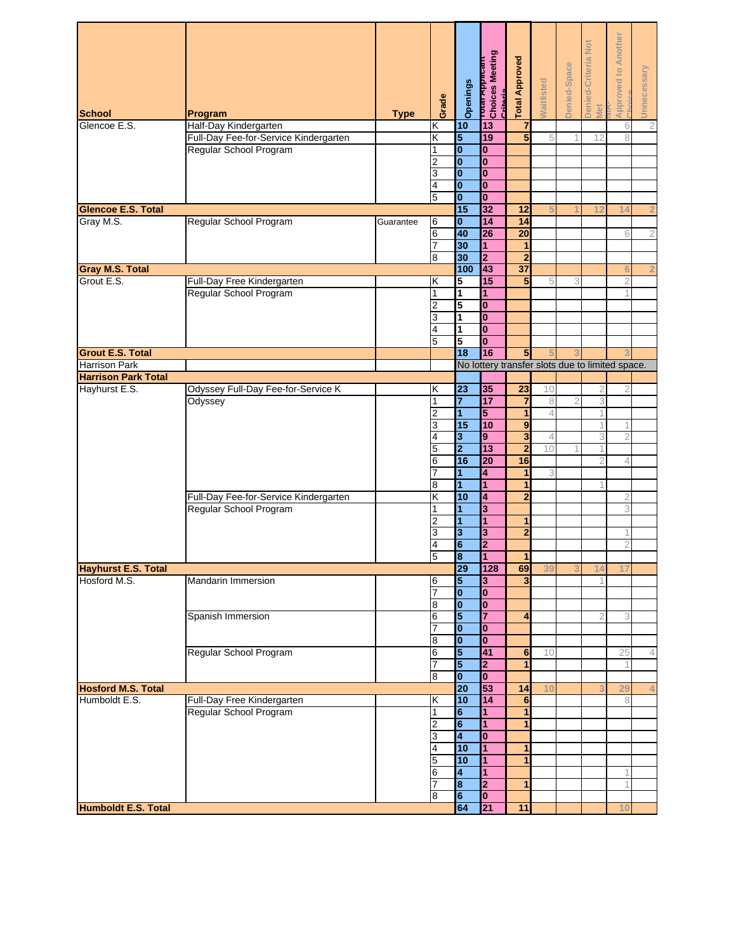| <b>School</b><br>Glencoe E.S. | Program<br>Half-Day Kindergarten              | <b>Type</b> | Grade<br>Κ | Openings<br>10                            | Total Applicant<br>Choices Meeting<br>Critoria.<br>13 | <b>Total Approved</b><br>$\overline{7}$ | <b>Waitlisted</b> | Denied-Space   | Denied-Criteria Not<br>Met | <b>Approved to Another</b><br>6                 | Unnecessary<br>$\overline{c}$ |
|-------------------------------|-----------------------------------------------|-------------|------------|-------------------------------------------|-------------------------------------------------------|-----------------------------------------|-------------------|----------------|----------------------------|-------------------------------------------------|-------------------------------|
|                               | Full-Day Fee-for-Service Kindergarten         |             | Κ          | 5                                         | 19                                                    | 5                                       | 5                 | 1              | 12                         | 8                                               |                               |
|                               | Regular School Program                        |             | 1          | $\bf{0}$                                  | $\bf{0}$                                              |                                         |                   |                |                            |                                                 |                               |
|                               |                                               |             | 2          | $\mathbf{0}$                              | $\mathbf{0}$                                          |                                         |                   |                |                            |                                                 |                               |
|                               |                                               |             | 3<br>4     | $\bf{0}$<br>$\bf{0}$                      | $\bf{0}$<br>$\bf{0}$                                  |                                         |                   |                |                            |                                                 |                               |
|                               |                                               |             | 5          | $\mathbf{0}$                              | $\overline{\mathbf{0}}$                               |                                         |                   |                |                            |                                                 |                               |
| <b>Glencoe E.S. Total</b>     |                                               |             |            | 15                                        | 32                                                    | 12                                      |                   |                | 12                         | 14                                              | 2                             |
| Gray M.S.                     | Regular School Program                        | Guarantee   | 6          | $\bf{0}$                                  | 14                                                    | 14                                      |                   |                |                            |                                                 |                               |
|                               |                                               |             | 6          | 40                                        | 26                                                    | $\overline{20}$                         |                   |                |                            | 6                                               | $\sqrt{2}$                    |
|                               |                                               |             | 7<br>8     | 30<br>30                                  | 1<br>$\overline{2}$                                   | 1<br>$\overline{2}$                     |                   |                |                            |                                                 |                               |
| <b>Gray M.S. Total</b>        |                                               |             |            | 100                                       | 43                                                    | $\overline{37}$                         |                   |                |                            | 6                                               | $\overline{2}$                |
| Grout E.S.                    | Full-Day Free Kindergarten                    |             | Κ          | 5                                         | 15                                                    | 5                                       | 5                 | 3              |                            |                                                 |                               |
|                               | Regular School Program                        |             | 1          | $\overline{1}$                            | 1                                                     |                                         |                   |                |                            |                                                 |                               |
|                               |                                               |             | 2          | 5                                         | $\mathbf{0}$                                          |                                         |                   |                |                            |                                                 |                               |
|                               |                                               |             | 3<br>4     | 1<br>1                                    | $\bf{0}$<br>$\mathbf{0}$                              |                                         |                   |                |                            |                                                 |                               |
|                               |                                               |             | 5          | 5                                         | $\mathbf{0}$                                          |                                         |                   |                |                            |                                                 |                               |
| <b>Grout E.S. Total</b>       |                                               |             |            | $\overline{18}$                           | 16                                                    | 5                                       |                   |                |                            |                                                 |                               |
| <b>Harrison Park</b>          |                                               |             |            |                                           |                                                       |                                         |                   |                |                            | No lottery transfer slots due to limited space. |                               |
| <b>Harrison Park Total</b>    |                                               |             |            |                                           |                                                       |                                         |                   |                |                            |                                                 |                               |
| Hayhurst E.S.                 | Odyssey Full-Day Fee-for-Service K<br>Odyssey |             | κ<br>1     | $\overline{\mathbf{3}}$<br>7              | 35<br>17                                              | $\overline{23}$<br>$\overline{7}$       | 10<br>8           | $\overline{2}$ | 2<br>3                     |                                                 |                               |
|                               |                                               |             | 2          | 1                                         | 5                                                     | 1                                       | 4                 |                |                            |                                                 |                               |
|                               |                                               |             | 3          | 15                                        | 10                                                    | $\boldsymbol{9}$                        |                   |                |                            |                                                 |                               |
|                               |                                               |             | 4          | 3                                         | 9                                                     | $\overline{\mathbf{3}}$                 | 4                 |                | 3                          | $\overline{2}$                                  |                               |
|                               |                                               |             | 5          | $\overline{\mathbf{2}}$<br>16             | 13<br>$\overline{20}$                                 | $\overline{2}$<br>16                    | 10                |                |                            | 4                                               |                               |
|                               |                                               |             | 6          | 1                                         | 4                                                     | 1                                       | 3                 |                |                            |                                                 |                               |
|                               |                                               |             | 8          | 1                                         | 1                                                     | 1                                       |                   |                |                            |                                                 |                               |
|                               | Full-Day Fee-for-Service Kindergarten         |             | Κ          | 10                                        | 4                                                     | $\overline{2}$                          |                   |                |                            | 2                                               |                               |
|                               | Regular School Program                        |             | 1          | 1                                         | 3                                                     |                                         |                   |                |                            | 3                                               |                               |
|                               |                                               |             | 2<br>3     | 1<br>3                                    | 1<br>3                                                | 1<br>$\overline{2}$                     |                   |                |                            |                                                 |                               |
|                               |                                               |             | 4          | 6                                         | 2                                                     |                                         |                   |                |                            | $\overline{2}$                                  |                               |
|                               |                                               |             | 5          | $\overline{\mathbf{8}}$                   | $\overline{1}$                                        | $\mathbf{1}$                            |                   |                |                            |                                                 |                               |
| <b>Hayhurst E.S. Total</b>    |                                               |             |            | 29                                        | 128                                                   | 69                                      | 39                |                | 14                         | 17                                              |                               |
| Hosford M.S.                  | Mandarin Immersion                            |             | 6<br>7     | 5<br>$\bf{0}$                             | 3                                                     | 3                                       |                   |                |                            |                                                 |                               |
|                               |                                               |             | 8          | $\bf{0}$                                  | $\bf{0}$<br>$\bf{0}$                                  |                                         |                   |                |                            |                                                 |                               |
|                               | Spanish Immersion                             |             | 6          | 5                                         | 7                                                     | $\overline{\mathbf{4}}$                 |                   |                | 2                          | 3                                               |                               |
|                               |                                               |             | 7          | $\bf{0}$                                  | $\bf{0}$                                              |                                         |                   |                |                            |                                                 |                               |
|                               |                                               |             | 8          | $\bf{0}$                                  | $\mathbf{0}$                                          |                                         |                   |                |                            |                                                 |                               |
|                               | Regular School Program                        |             | 6<br>7     | 5<br>$\overline{\mathbf{5}}$              | 41<br>$\overline{\mathbf{2}}$                         | $6\phantom{1}$<br>1                     | 10                |                |                            | 25                                              | 4                             |
|                               |                                               |             | 8          | $\bf{0}$                                  | $\mathbf{0}$                                          |                                         |                   |                |                            |                                                 |                               |
| <b>Hosford M.S. Total</b>     |                                               |             |            | $\overline{20}$                           | 53                                                    | 14                                      | 10                |                |                            | 29                                              | 4                             |
| Humboldt E.S.                 | Full-Day Free Kindergarten                    |             | K          | 10                                        | 14                                                    | 6                                       |                   |                |                            | 8                                               |                               |
|                               | Regular School Program                        |             | 1          | 6                                         | 1                                                     | 1                                       |                   |                |                            |                                                 |                               |
|                               |                                               |             | 2<br>3     | $6\phantom{a}$<br>$\overline{\mathbf{4}}$ | $\overline{1}$<br>$\bf{0}$                            | 1                                       |                   |                |                            |                                                 |                               |
|                               |                                               |             | 4          | 10                                        | 1                                                     |                                         |                   |                |                            |                                                 |                               |
|                               |                                               |             | 5          | 10                                        | $\mathbf{1}$                                          | 1                                       |                   |                |                            |                                                 |                               |
|                               |                                               |             | 6          | 4                                         | 1                                                     |                                         |                   |                |                            |                                                 |                               |
|                               |                                               |             |            | $\overline{\mathbf{8}}$                   | $\overline{\mathbf{2}}$                               | 1                                       |                   |                |                            |                                                 |                               |
| <b>Humboldt E.S. Total</b>    |                                               |             | 8          | 6<br>64                                   | $\overline{\mathbf{0}}$<br>21                         | 11                                      |                   |                |                            | 10                                              |                               |
|                               |                                               |             |            |                                           |                                                       |                                         |                   |                |                            |                                                 |                               |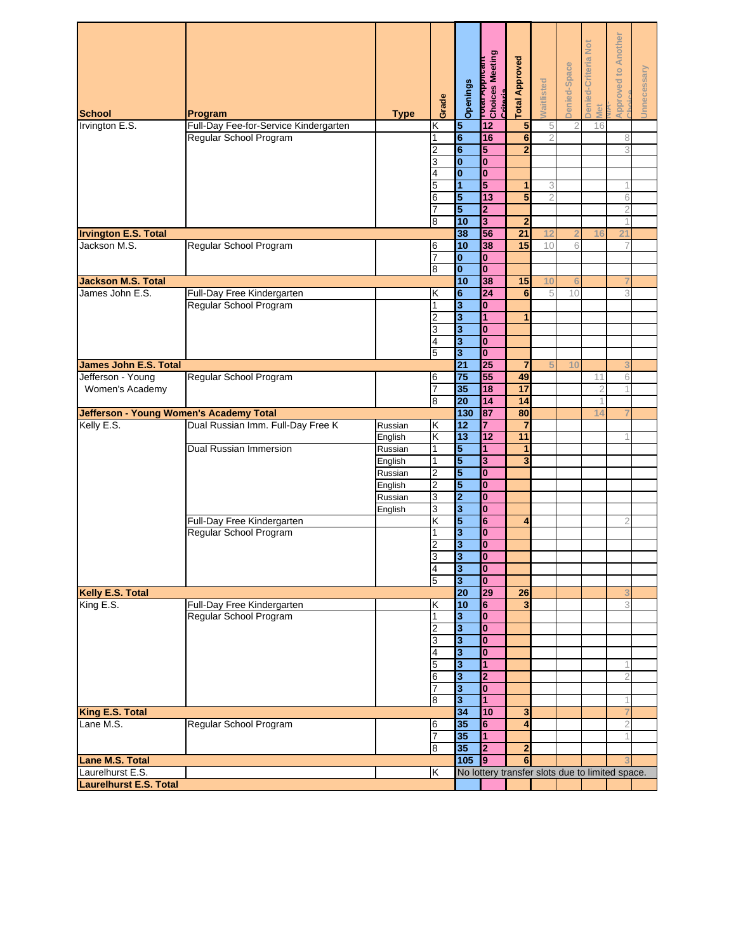| <b>School</b><br>Irvington E.S.                   | Program<br>Full-Day Fee-for-Service Kindergarten | <b>Type</b> | Grade<br>Κ          | Openings<br>$\overline{5}$                         | דסנפו Meeting<br>Choices Meeting<br><b>Critoria</b><br>12 | <b>Total Approved</b><br>5 | <b>Vaitlisted</b><br>5 | Denied-Space<br>2 | <b>Denied-Criteria Not</b><br>Met<br>16 | <b>Approved to Another</b>                      | Unnecessary |
|---------------------------------------------------|--------------------------------------------------|-------------|---------------------|----------------------------------------------------|-----------------------------------------------------------|----------------------------|------------------------|-------------------|-----------------------------------------|-------------------------------------------------|-------------|
|                                                   | Regular School Program                           |             | 1                   | $\overline{\mathbf{6}}$                            | 16                                                        | $6\phantom{1}$             | $\overline{2}$         |                   |                                         | 8                                               |             |
|                                                   |                                                  |             | 2                   | 6                                                  | 5                                                         | $\overline{2}$             |                        |                   |                                         | 3                                               |             |
|                                                   |                                                  |             | 3                   | $\bf{0}$                                           | $\mathbf{0}$                                              |                            |                        |                   |                                         |                                                 |             |
|                                                   |                                                  |             | 4                   | $\bf{0}$                                           | $\bf{0}$                                                  |                            |                        |                   |                                         |                                                 |             |
|                                                   |                                                  |             | 5                   | 1                                                  | 5                                                         | 1                          | 3                      |                   |                                         |                                                 |             |
|                                                   |                                                  |             | 6                   | 5                                                  | $\overline{13}$                                           | 5                          | $\overline{2}$         |                   |                                         | 6                                               |             |
|                                                   |                                                  |             | 7                   | 5                                                  | $\mathbf{z}$                                              |                            |                        |                   |                                         | 2                                               |             |
|                                                   |                                                  |             | 8                   | 10                                                 | 3                                                         | $\overline{2}$             |                        |                   |                                         |                                                 |             |
| <b>Irvington E.S. Total</b>                       |                                                  |             |                     | 38                                                 | 56                                                        | 21                         | 12                     | $\overline{2}$    | 16                                      | 21                                              |             |
| Jackson M.S.                                      | Regular School Program                           |             | 6                   | 10                                                 | 38                                                        | 15                         | 10                     | 6                 |                                         |                                                 |             |
|                                                   |                                                  |             | 7                   | $\mathbf{0}$                                       | $\mathbf{0}$                                              |                            |                        |                   |                                         |                                                 |             |
|                                                   |                                                  |             | 8                   | $\mathbf{0}$                                       | $\overline{\mathbf{0}}$                                   |                            |                        |                   |                                         |                                                 |             |
| <b>Jackson M.S. Total</b>                         |                                                  |             |                     | 10                                                 | 38                                                        | 15                         | 10                     | 6                 |                                         |                                                 |             |
| James John E.S.                                   | Full-Day Free Kindergarten                       |             | Κ                   | $6\phantom{1}$                                     | $\overline{24}$                                           | $6\phantom{1}6$            | 5                      | 10                |                                         | 3                                               |             |
|                                                   | Regular School Program                           |             | 1                   | $\overline{\mathbf{3}}$                            | $\mathbf{0}$                                              |                            |                        |                   |                                         |                                                 |             |
|                                                   |                                                  |             | 2                   | $\overline{\mathbf{3}}$                            | 1                                                         | 1                          |                        |                   |                                         |                                                 |             |
|                                                   |                                                  |             | 3                   | $\overline{\mathbf{3}}$                            | $\bf{0}$                                                  |                            |                        |                   |                                         |                                                 |             |
|                                                   |                                                  |             | 4                   | $\overline{\mathbf{3}}$                            | $\overline{\mathbf{0}}$                                   |                            |                        |                   |                                         |                                                 |             |
|                                                   |                                                  |             | 5                   | 3                                                  | $\bf{0}$                                                  |                            |                        |                   |                                         |                                                 |             |
| James John E.S. Total                             |                                                  |             |                     | $\overline{21}$<br>75                              | 25<br>55                                                  | $\overline{7}$<br>49       |                        | 10                |                                         |                                                 |             |
| Jefferson - Young                                 | Regular School Program                           |             | 6<br>7              | 35                                                 | 18                                                        | 17                         |                        |                   | 11                                      | 6                                               |             |
| Women's Academy                                   |                                                  |             | 8                   | 20                                                 | 14                                                        | 14                         |                        |                   | $\overline{2}$                          |                                                 |             |
|                                                   | <b>Jefferson - Young Women's Academy Total</b>   |             |                     | 130                                                | 87                                                        | 80                         |                        |                   | 14                                      |                                                 |             |
| Kelly E.S.                                        | Dual Russian Imm. Full-Day Free K                | Russian     | Κ                   | 12                                                 | 7                                                         |                            |                        |                   |                                         |                                                 |             |
|                                                   |                                                  | English     | Κ                   | 13                                                 | $\overline{12}$                                           | 11                         |                        |                   |                                         |                                                 |             |
|                                                   | Dual Russian Immersion                           | Russian     | 1                   | 5                                                  | 1                                                         | 1                          |                        |                   |                                         |                                                 |             |
|                                                   |                                                  | English     | 1                   | 5                                                  | 3                                                         | 3                          |                        |                   |                                         |                                                 |             |
|                                                   |                                                  | Russian     | 2                   | 5                                                  | $\mathbf{0}$                                              |                            |                        |                   |                                         |                                                 |             |
|                                                   |                                                  | English     | 2                   | 5                                                  | $\mathbf{0}$                                              |                            |                        |                   |                                         |                                                 |             |
|                                                   |                                                  | Russian     | 3                   | $\mathbf 2$                                        | $\bf{0}$                                                  |                            |                        |                   |                                         |                                                 |             |
|                                                   |                                                  | English     | 3                   | $\overline{\mathbf{3}}$                            | $\overline{\mathbf{0}}$                                   |                            |                        |                   |                                         |                                                 |             |
|                                                   | Full-Day Free Kindergarten                       |             | K                   | 5                                                  | 6                                                         | 4                          |                        |                   |                                         | 2                                               |             |
|                                                   | Regular School Program                           |             | 1                   | 3                                                  | $\bf{0}$                                                  |                            |                        |                   |                                         |                                                 |             |
|                                                   |                                                  |             | 2                   | $\overline{\mathbf{3}}$                            | $\overline{\mathbf{0}}$                                   |                            |                        |                   |                                         |                                                 |             |
|                                                   |                                                  |             | 3                   | $\overline{\mathbf{3}}$                            | $\mathbf{0}$<br>$\bf{0}$                                  |                            |                        |                   |                                         |                                                 |             |
|                                                   |                                                  |             | $\overline{4}$<br>5 | $\overline{\mathbf{3}}$<br>$\overline{\mathbf{3}}$ | $\overline{\mathbf{0}}$                                   |                            |                        |                   |                                         |                                                 |             |
| Kelly E.S. Total                                  |                                                  |             |                     | 20                                                 | 29                                                        | 26                         |                        |                   |                                         |                                                 |             |
| King E.S.                                         | Full-Day Free Kindergarten                       |             | Κ                   | 10                                                 | 6                                                         | 3                          |                        |                   |                                         | 3                                               |             |
|                                                   | Regular School Program                           |             | 1                   | $\overline{\mathbf{3}}$                            | $\mathbf{0}$                                              |                            |                        |                   |                                         |                                                 |             |
|                                                   |                                                  |             | 2                   | 3                                                  | $\bf{0}$                                                  |                            |                        |                   |                                         |                                                 |             |
|                                                   |                                                  |             | 3                   | $\overline{\mathbf{3}}$                            | $\mathbf{0}$                                              |                            |                        |                   |                                         |                                                 |             |
|                                                   |                                                  |             | 4                   | $\overline{\mathbf{3}}$                            | $\mathbf{0}$                                              |                            |                        |                   |                                         |                                                 |             |
|                                                   |                                                  |             | 5                   | $\overline{\mathbf{3}}$                            | 1                                                         |                            |                        |                   |                                         |                                                 |             |
|                                                   |                                                  |             | 6                   | $\overline{\mathbf{3}}$                            | $\overline{2}$                                            |                            |                        |                   |                                         |                                                 |             |
|                                                   |                                                  |             | 7                   | 3                                                  | $\overline{\mathbf{0}}$                                   |                            |                        |                   |                                         |                                                 |             |
|                                                   |                                                  |             | 8                   | 3                                                  | 1                                                         |                            |                        |                   |                                         |                                                 |             |
| <b>King E.S. Total</b>                            |                                                  |             |                     | 34                                                 | 10                                                        | 3                          |                        |                   |                                         |                                                 |             |
| Lane M.S.                                         | Regular School Program                           |             | 6                   | 35                                                 | 6                                                         | 4                          |                        |                   |                                         | $\overline{2}$                                  |             |
|                                                   |                                                  |             | 7                   | 35                                                 | 1                                                         |                            |                        |                   |                                         |                                                 |             |
|                                                   |                                                  |             | 8                   | 35                                                 | $\overline{2}$                                            | 2                          |                        |                   |                                         |                                                 |             |
| <b>Lane M.S. Total</b>                            |                                                  |             |                     | 105                                                | $\overline{9}$                                            | 6                          |                        |                   |                                         |                                                 |             |
| Laurelhurst E.S.<br><b>Laurelhurst E.S. Total</b> |                                                  |             | Κ                   |                                                    |                                                           |                            |                        |                   |                                         | No lottery transfer slots due to limited space. |             |
|                                                   |                                                  |             |                     |                                                    |                                                           |                            |                        |                   |                                         |                                                 |             |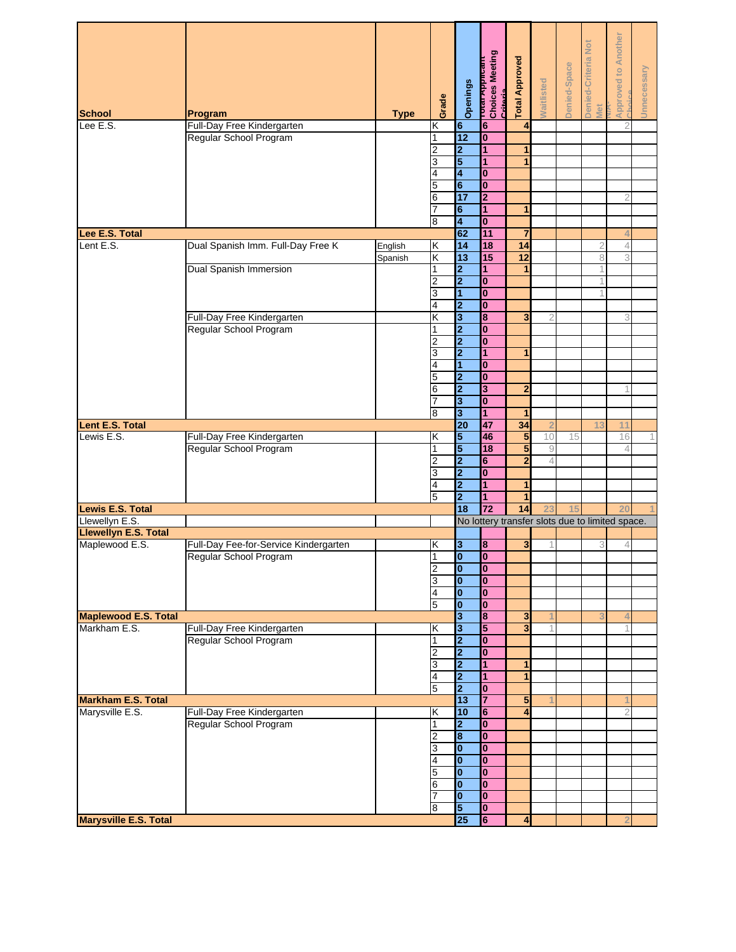| <b>School</b>                                 | Program                                              | <b>Type</b> | Grade          | Openings                                           | _  rotar <del>Appncant</del><br>  Choices Meeting<br>  Critoria | <b>Total Approved</b> | <b>Naitlisted</b> | Denied-Space | <b>Denied-Criteria Not</b><br>Viet | <b>Approved to Another</b>                      | Unnecessary |
|-----------------------------------------------|------------------------------------------------------|-------------|----------------|----------------------------------------------------|-----------------------------------------------------------------|-----------------------|-------------------|--------------|------------------------------------|-------------------------------------------------|-------------|
| Lee E.S.                                      | Full-Day Free Kindergarten                           |             | Κ              | $6\phantom{a}$                                     | $6\phantom{1}$                                                  | 4                     |                   |              |                                    | 2                                               |             |
|                                               | Regular School Program                               |             | 1              | 12                                                 | $\bf{0}$                                                        |                       |                   |              |                                    |                                                 |             |
|                                               |                                                      |             | 2              | $\overline{2}$                                     | 1                                                               | 1                     |                   |              |                                    |                                                 |             |
|                                               |                                                      |             | 3              | 5                                                  | 1                                                               | 1                     |                   |              |                                    |                                                 |             |
|                                               |                                                      |             | 4              | 4                                                  | $\bf{0}$                                                        |                       |                   |              |                                    |                                                 |             |
|                                               |                                                      |             | 5<br>6         | 6<br>17                                            | $\bf{0}$<br>$\overline{\mathbf{2}}$                             |                       |                   |              |                                    | 2                                               |             |
|                                               |                                                      |             | 7              | $6\phantom{1}$                                     | 1                                                               | 1                     |                   |              |                                    |                                                 |             |
|                                               |                                                      |             | 8              | 4                                                  | $\bf{0}$                                                        |                       |                   |              |                                    |                                                 |             |
| Lee E.S. Total                                |                                                      |             |                | 62                                                 | 11                                                              | $\overline{7}$        |                   |              |                                    |                                                 |             |
| Lent E.S.                                     | Dual Spanish Imm. Full-Day Free K                    | English     | Κ              | 14                                                 | 18                                                              | 14                    |                   |              | 2                                  | $\overline{4}$                                  |             |
|                                               |                                                      | Spanish     | Κ              | 13                                                 | 15                                                              | 12                    |                   |              | 8                                  |                                                 |             |
|                                               | Dual Spanish Immersion                               |             | 1              | $\overline{\mathbf{2}}$                            | 1                                                               | 1                     |                   |              |                                    |                                                 |             |
|                                               |                                                      |             | 2              | $\overline{\mathbf{2}}$                            | $\bf{0}$                                                        |                       |                   |              |                                    |                                                 |             |
|                                               |                                                      |             | 3<br>4         | 1                                                  | $\bf{0}$<br>$\bf{0}$                                            |                       |                   |              |                                    |                                                 |             |
|                                               | Full-Day Free Kindergarten                           |             | Κ              | $\overline{\mathbf{2}}$<br>3                       | 8                                                               | 3                     | 2                 |              |                                    | 3                                               |             |
|                                               | Regular School Program                               |             | 1              | $\overline{\mathbf{c}}$                            | $\bf{0}$                                                        |                       |                   |              |                                    |                                                 |             |
|                                               |                                                      |             | 2              | $\overline{\mathbf{c}}$                            | $\mathbf{0}$                                                    |                       |                   |              |                                    |                                                 |             |
|                                               |                                                      |             | 3              | $\overline{\mathbf{c}}$                            | 1                                                               | 1                     |                   |              |                                    |                                                 |             |
|                                               |                                                      |             | 4              | 1                                                  | $\bf{0}$                                                        |                       |                   |              |                                    |                                                 |             |
|                                               |                                                      |             | 5              | $\overline{\mathbf{c}}$                            | $\bf{0}$                                                        |                       |                   |              |                                    |                                                 |             |
|                                               |                                                      |             | 6              | $\overline{\mathbf{2}}$                            | 3                                                               | $\mathbf{2}$          |                   |              |                                    |                                                 |             |
|                                               |                                                      |             |                | $\overline{\mathbf{3}}$                            | $\overline{\mathbf{0}}$                                         |                       |                   |              |                                    |                                                 |             |
|                                               |                                                      |             | 8              | 3                                                  | $\mathbf{1}$                                                    | 1                     |                   |              |                                    |                                                 |             |
| Lent E.S. Total<br>Lewis E.S.                 | Full-Day Free Kindergarten                           |             | K              | 20<br>5                                            | 47<br>46                                                        | 34<br>5               | 10                | 15           | 13                                 | 11<br>16                                        | 1           |
|                                               | Regular School Program                               |             | 1              | 5                                                  | 18                                                              | 5                     | 9                 |              |                                    |                                                 |             |
|                                               |                                                      |             | 2              | $\overline{\mathbf{2}}$                            | 6                                                               | 2                     | 4                 |              |                                    |                                                 |             |
|                                               |                                                      |             | 3              | $\overline{2}$                                     | $\mathbf{0}$                                                    |                       |                   |              |                                    |                                                 |             |
|                                               |                                                      |             | 4              | $\overline{\mathbf{2}}$                            | 1                                                               | 1                     |                   |              |                                    |                                                 |             |
|                                               |                                                      |             | 5              | $\overline{\mathbf{2}}$                            | 1                                                               | 1                     |                   |              |                                    |                                                 |             |
| <b>Lewis E.S. Total</b>                       |                                                      |             |                | 18                                                 | 72                                                              | $\overline{14}$       | 23                | 15           |                                    | 20                                              |             |
| Llewellyn E.S.<br><b>Llewellyn E.S. Total</b> |                                                      |             |                |                                                    |                                                                 |                       |                   |              |                                    | No lottery transfer slots due to limited space. |             |
| Maplewood E.S.                                | Full-Day Fee-for-Service Kindergarten                |             | Κ              | 3                                                  | 8                                                               | 3                     | 1                 |              | 3                                  | 4                                               |             |
|                                               | Regular School Program                               |             | $\mathbf{1}$   | $\overline{\mathbf{0}}$                            | $\overline{0}$                                                  |                       |                   |              |                                    |                                                 |             |
|                                               |                                                      |             | $\overline{c}$ | $\overline{\mathbf{0}}$                            | $\overline{\mathbf{0}}$                                         |                       |                   |              |                                    |                                                 |             |
|                                               |                                                      |             | 3              | $\bf{0}$                                           | $\mathbf{0}$                                                    |                       |                   |              |                                    |                                                 |             |
|                                               |                                                      |             | 4              | $\mathbf{0}$                                       | $\bf{0}$                                                        |                       |                   |              |                                    |                                                 |             |
|                                               |                                                      |             | 5              | $\bf{0}$                                           | $\mathbf{0}$                                                    |                       |                   |              |                                    |                                                 |             |
| <b>Maplewood E.S. Total</b><br>Markham E.S.   |                                                      |             |                | 3                                                  | 8                                                               | 3<br>3                |                   |              |                                    |                                                 |             |
|                                               | Full-Day Free Kindergarten<br>Regular School Program |             | Κ<br>1         | 3<br>$\overline{2}$                                | 5<br>$\bf{0}$                                                   |                       |                   |              |                                    |                                                 |             |
|                                               |                                                      |             | 2              | $\overline{\mathbf{2}}$                            | $\mathbf{0}$                                                    |                       |                   |              |                                    |                                                 |             |
|                                               |                                                      |             | 3              | $\overline{2}$                                     | 1                                                               | 1                     |                   |              |                                    |                                                 |             |
|                                               |                                                      |             | 4              | $\overline{\mathbf{2}}$                            | 1                                                               | 1                     |                   |              |                                    |                                                 |             |
|                                               |                                                      |             | 5              | $\overline{2}$                                     | $\mathbf{0}$                                                    |                       |                   |              |                                    |                                                 |             |
| <b>Markham E.S. Total</b>                     |                                                      |             |                | 13                                                 | 7                                                               | 5                     |                   |              |                                    |                                                 |             |
| Marysville E.S.                               | Full-Day Free Kindergarten                           |             | Κ              | 10                                                 | 6<br>$\mathbf{0}$                                               | 4                     |                   |              |                                    |                                                 |             |
|                                               | Regular School Program                               |             | 1<br>2         | $\overline{\mathbf{2}}$<br>$\overline{\mathbf{8}}$ | $\bf{0}$                                                        |                       |                   |              |                                    |                                                 |             |
|                                               |                                                      |             | 3              | $\mathbf{0}$                                       | $\mathbf{0}$                                                    |                       |                   |              |                                    |                                                 |             |
|                                               |                                                      |             | 4              | $\bf{0}$                                           | $\overline{\mathbf{0}}$                                         |                       |                   |              |                                    |                                                 |             |
|                                               |                                                      |             | 5              | $\bf{0}$                                           | $\bf{0}$                                                        |                       |                   |              |                                    |                                                 |             |
|                                               |                                                      |             | 6              | $\bf{0}$                                           | $\mathbf{0}$                                                    |                       |                   |              |                                    |                                                 |             |
|                                               |                                                      |             |                | $\mathbf{0}$                                       | $\overline{\mathbf{0}}$                                         |                       |                   |              |                                    |                                                 |             |
|                                               |                                                      |             | 8              | 5                                                  | $\bf{0}$                                                        |                       |                   |              |                                    |                                                 |             |
| <b>Marysville E.S. Total</b>                  |                                                      |             |                | $\overline{25}$                                    | $6\phantom{a}$                                                  | 4                     |                   |              |                                    |                                                 |             |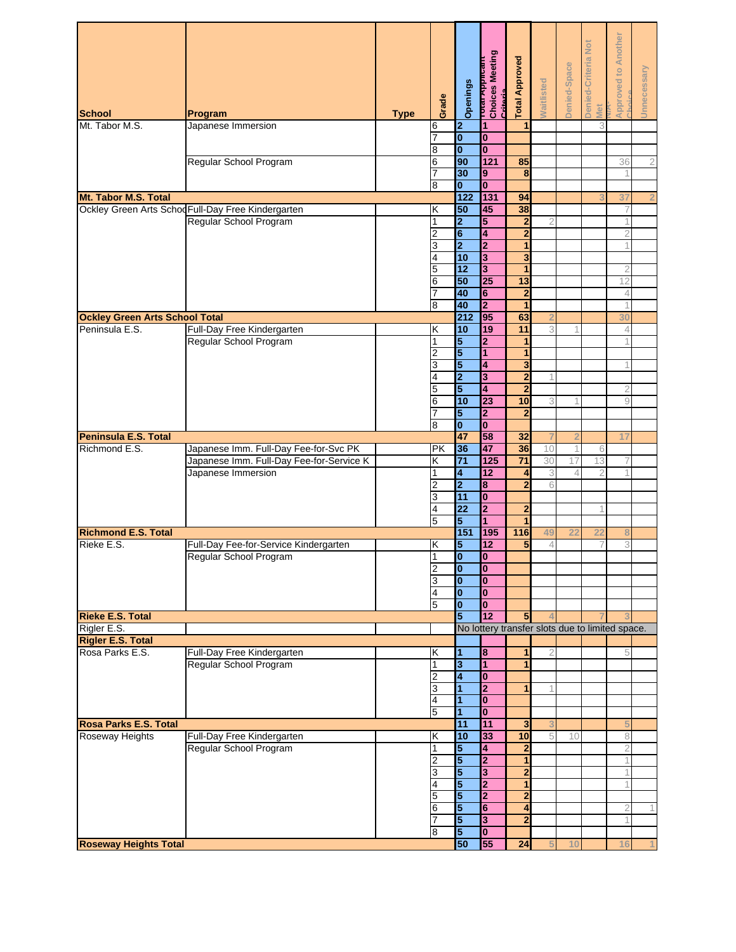| <b>School</b>                               | Program                                                                           | <b>Type</b> | Grade          | Openings                      | _i vua <del>∧</del> ppincant<br>Choices Meeting<br>Critoria | <b>Total Approved</b>            | <b>Waitlisted</b> | Denied-Space | Denied-Criteria Not<br>Met | <b>Approved to Another</b>                      | Unnecessary    |
|---------------------------------------------|-----------------------------------------------------------------------------------|-------------|----------------|-------------------------------|-------------------------------------------------------------|----------------------------------|-------------------|--------------|----------------------------|-------------------------------------------------|----------------|
| Mt. Tabor M.S.                              | Japanese Immersion                                                                |             | 6              | $\overline{\mathbf{2}}$       | 1                                                           | 1                                |                   |              | 3                          |                                                 |                |
|                                             |                                                                                   |             | 7              | $\overline{\mathbf{0}}$       | $\bf{0}$                                                    |                                  |                   |              |                            |                                                 |                |
|                                             |                                                                                   |             | 8              | $\overline{\mathbf{0}}$<br>90 | $\mathbf{0}$<br>121                                         | 85                               |                   |              |                            |                                                 |                |
|                                             | Regular School Program                                                            |             | 6<br>7         | 30                            | 9                                                           | 8                                |                   |              |                            | 36                                              | $\mathfrak 2$  |
|                                             |                                                                                   |             | 8              | $\mathbf{0}$                  | $\mathbf{0}$                                                |                                  |                   |              |                            |                                                 |                |
| Mt. Tabor M.S. Total                        |                                                                                   |             |                | 122                           | 131                                                         | 94                               |                   |              |                            | 37                                              | $\overline{2}$ |
|                                             | Ockley Green Arts Schod Full-Day Free Kindergarten                                |             | κ              | 50                            | 45                                                          | 38                               |                   |              |                            |                                                 |                |
|                                             | Regular School Program                                                            |             | 1<br>2         | $\overline{2}$<br>6           | 5<br>4                                                      | $\overline{2}$<br>$\overline{2}$ | $\overline{2}$    |              |                            | 2                                               |                |
|                                             |                                                                                   |             | 3              | $\overline{\mathbf{2}}$       | $\overline{2}$                                              | 1                                |                   |              |                            |                                                 |                |
|                                             |                                                                                   |             | 4              | 10                            | 3                                                           | 3                                |                   |              |                            |                                                 |                |
|                                             |                                                                                   |             | 5              | 12                            | 3                                                           | 1                                |                   |              |                            |                                                 |                |
|                                             |                                                                                   |             | 6              | 50                            | 25                                                          | 13                               |                   |              |                            | 12                                              |                |
|                                             |                                                                                   |             | 8              | 40<br>40                      | 6<br>$\overline{\mathbf{2}}$                                | $\overline{2}$<br>1              |                   |              |                            | 4                                               |                |
| <b>Ockley Green Arts School Total</b>       |                                                                                   |             |                | 212                           | 95                                                          | 63                               |                   |              |                            | 30                                              |                |
| Peninsula E.S.                              | Full-Day Free Kindergarten                                                        |             | Κ              | 10                            | 19                                                          | 11                               | 3                 | 1            |                            | 4                                               |                |
|                                             | Regular School Program                                                            |             | 1              | 5                             | $\mathbf{2}$                                                | 1                                |                   |              |                            |                                                 |                |
|                                             |                                                                                   |             | 2              | 5                             | 1                                                           | 1                                |                   |              |                            |                                                 |                |
|                                             |                                                                                   |             | 3<br>4         | 5<br>$\overline{2}$           | 4<br>3                                                      | 3<br>$\overline{2}$              |                   |              |                            |                                                 |                |
|                                             |                                                                                   |             | 5              | 5                             | 4                                                           | $\overline{2}$                   |                   |              |                            |                                                 |                |
|                                             |                                                                                   |             | 6              | 10                            | 23                                                          | 10                               | 3                 |              |                            | 9                                               |                |
|                                             |                                                                                   |             |                | 5                             | $\overline{2}$                                              | $\overline{2}$                   |                   |              |                            |                                                 |                |
|                                             |                                                                                   |             | 8              | $\bf{0}$                      | $\bf{0}$                                                    |                                  |                   |              |                            |                                                 |                |
| Peninsula E.S. Total<br>Richmond E.S.       |                                                                                   |             |                | 47<br>36                      | 58<br>47                                                    | 32<br>36                         | 10                | 2            |                            | 17                                              |                |
|                                             | Japanese Imm. Full-Day Fee-for-Svc PK<br>Japanese Imm. Full-Day Fee-for-Service K |             | <b>PK</b><br>κ | $\overline{71}$               | 125                                                         | $\overline{71}$                  | 30                | 1<br>17      | 6<br>13                    |                                                 |                |
|                                             | Japanese Immersion                                                                |             | 1              | 4                             | 12                                                          | 4                                | 3                 | 4            |                            |                                                 |                |
|                                             |                                                                                   |             | 2              | $\overline{2}$                | 8                                                           | $\overline{2}$                   | 6                 |              |                            |                                                 |                |
|                                             |                                                                                   |             | 3              | 11                            | $\bf{0}$                                                    |                                  |                   |              |                            |                                                 |                |
|                                             |                                                                                   |             | 4<br>5         | 22<br>5                       | $\overline{2}$<br>1                                         | $\overline{2}$                   |                   |              |                            |                                                 |                |
| <b>Richmond E.S. Total</b>                  |                                                                                   |             |                | 151                           | 195                                                         | 116                              | 49                |              | 21                         |                                                 |                |
| Rieke E.S.                                  | Full-Day Fee-for-Service Kindergarten                                             |             | Κ              | 5                             | 12                                                          | 5                                | 4                 |              |                            | 3                                               |                |
|                                             | Regular School Program                                                            |             | 1              | $\overline{\mathbf{0}}$       | O                                                           |                                  |                   |              |                            |                                                 |                |
|                                             |                                                                                   |             | 2              | $\bf{0}$                      | $\bf{0}$                                                    |                                  |                   |              |                            |                                                 |                |
|                                             |                                                                                   |             | 3<br>4         | $\bf{0}$<br>$\bf{0}$          | $\mathbf{0}$<br>$\bf{0}$                                    |                                  |                   |              |                            |                                                 |                |
|                                             |                                                                                   |             | 5              | $\bf{0}$                      | $\bf{0}$                                                    |                                  |                   |              |                            |                                                 |                |
| <b>Rieke E.S. Total</b>                     |                                                                                   |             |                | 5                             | 12                                                          | 5                                |                   |              |                            |                                                 |                |
| Rigler E.S.                                 |                                                                                   |             |                |                               |                                                             |                                  |                   |              |                            | No lottery transfer slots due to limited space. |                |
| <b>Rigler E.S. Total</b><br>Rosa Parks E.S. | Full-Day Free Kindergarten                                                        |             | Κ              | 1                             | 8                                                           | 1                                | 2                 |              |                            | 5                                               |                |
|                                             | Regular School Program                                                            |             | 1              | 3                             | $\mathbf{1}$                                                | 1                                |                   |              |                            |                                                 |                |
|                                             |                                                                                   |             | 2              | 4                             | $\bf{0}$                                                    |                                  |                   |              |                            |                                                 |                |
|                                             |                                                                                   |             | 3              | $\overline{1}$                | $\overline{2}$                                              | 1                                |                   |              |                            |                                                 |                |
|                                             |                                                                                   |             | 4              | 1                             | $\bf{0}$                                                    |                                  |                   |              |                            |                                                 |                |
| <b>Rosa Parks E.S. Total</b>                |                                                                                   |             | 5              | 1<br>11                       | $\mathbf{0}$<br>11                                          | 3                                | 3                 |              |                            |                                                 |                |
| Roseway Heights                             | Full-Day Free Kindergarten                                                        |             | Κ              | 10                            | 33                                                          | 10                               | 5                 | 10           |                            | 8                                               |                |
|                                             | Regular School Program                                                            |             | 1              | 5                             | 4                                                           | $\overline{2}$                   |                   |              |                            | 2                                               |                |
|                                             |                                                                                   |             | 2              | 5                             | $\overline{2}$                                              | 1                                |                   |              |                            |                                                 |                |
|                                             |                                                                                   |             | 3              | 5                             | 3                                                           | 2                                |                   |              |                            |                                                 |                |
|                                             |                                                                                   |             | 4<br>5         | 5<br>5                        | $\overline{2}$<br>2                                         | $\overline{2}$                   |                   |              |                            |                                                 |                |
|                                             |                                                                                   |             | 6              | 5                             | 6                                                           | 4                                |                   |              |                            | 2                                               |                |
|                                             |                                                                                   |             |                | $\overline{\mathbf{5}}$       | $\overline{\mathbf{3}}$                                     | $\overline{2}$                   |                   |              |                            |                                                 |                |
|                                             |                                                                                   |             | 8              | 5                             | $\bf{0}$                                                    |                                  |                   |              |                            |                                                 |                |
| <b>Roseway Heights Total</b>                |                                                                                   |             |                | 50                            | 55                                                          | 24                               |                   | 10           |                            | 16                                              |                |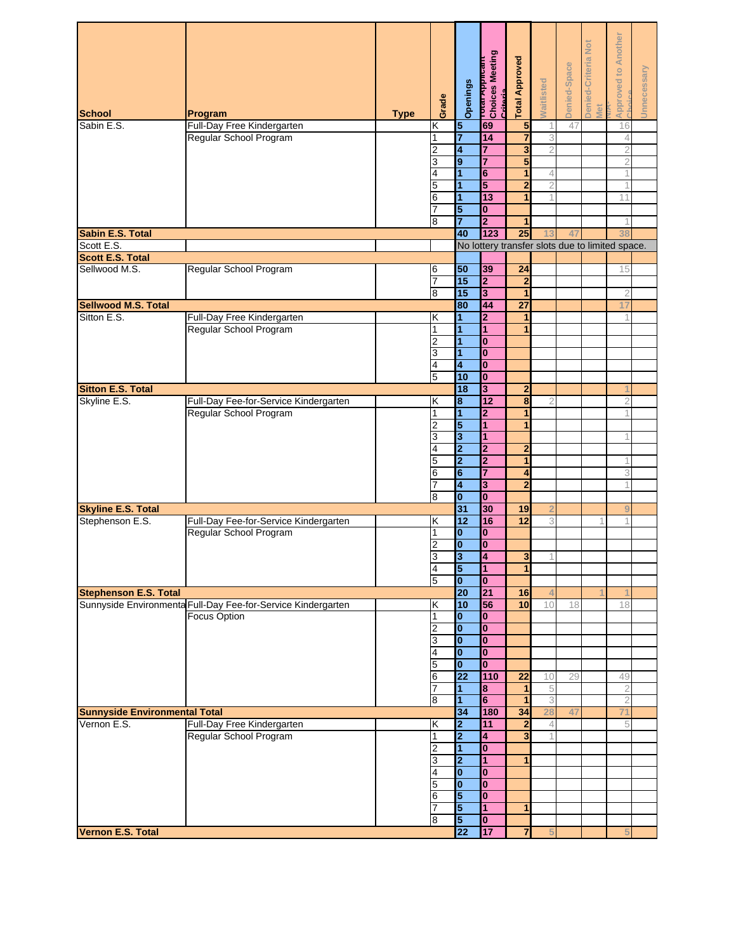| <b>School</b>                        | Program                                                         | <b>Type</b> | Grade                   | Openings                                  | וסטונפs Meeting<br>Choices Meeting<br>Critorio | <b>Total Approved</b>   | <b>Naitlisted</b>   | Denied-Space | Denied-Criteria Not<br>Met | <b>Approved to Another</b>                      | Unnecessary |
|--------------------------------------|-----------------------------------------------------------------|-------------|-------------------------|-------------------------------------------|------------------------------------------------|-------------------------|---------------------|--------------|----------------------------|-------------------------------------------------|-------------|
| Sabin E.S.                           | Full-Day Free Kindergarten                                      |             | Κ                       | $\sqrt{5}$                                | 69                                             | $\overline{\mathbf{5}}$ | 1                   | 47           |                            | 16                                              |             |
|                                      | Regular School Program                                          |             | 1                       | 7                                         | 14                                             | 7                       | 3                   |              |                            | 4                                               |             |
|                                      |                                                                 |             | $\overline{c}$          | 4                                         | 7                                              | 3                       | $\overline{2}$      |              |                            | 2                                               |             |
|                                      |                                                                 |             | 3                       | $\overline{9}$                            | $\overline{7}$                                 | 5                       |                     |              |                            | 2                                               |             |
|                                      |                                                                 |             | 4<br>5                  | 1<br>$\overline{1}$                       | 6<br>5                                         | 1<br>$\overline{2}$     | 4<br>$\overline{2}$ |              |                            |                                                 |             |
|                                      |                                                                 |             | 6                       | 1                                         | 13                                             | 1                       | 1                   |              |                            | 11                                              |             |
|                                      |                                                                 |             |                         | 5                                         | 0                                              |                         |                     |              |                            |                                                 |             |
|                                      |                                                                 |             | 8                       | $\overline{7}$                            | $\overline{2}$                                 | 1                       |                     |              |                            |                                                 |             |
| Sabin E.S. Total                     |                                                                 |             |                         | 40                                        | $123$                                          | 25                      | 13                  | 47           |                            | 38                                              |             |
| Scott E.S.                           |                                                                 |             |                         |                                           |                                                |                         |                     |              |                            | No lottery transfer slots due to limited space. |             |
| <b>Scott E.S. Total</b>              |                                                                 |             |                         |                                           |                                                |                         |                     |              |                            |                                                 |             |
| Sellwood M.S.                        | Regular School Program                                          |             | 6                       | 50<br>15                                  | 39<br>$\overline{2}$                           | 24<br>$\mathbf{2}$      |                     |              |                            | 15                                              |             |
|                                      |                                                                 |             | 8                       | 15                                        | 3                                              | 1                       |                     |              |                            | $\overline{2}$                                  |             |
| <b>Sellwood M.S. Total</b>           |                                                                 |             |                         | 80                                        | 44                                             | $\overline{27}$         |                     |              |                            | 17                                              |             |
| Sitton E.S.                          | Full-Day Free Kindergarten                                      |             | Κ                       | 1                                         | $\overline{2}$                                 |                         |                     |              |                            |                                                 |             |
|                                      | Regular School Program                                          |             | 1                       | $\overline{1}$                            | 1                                              | 1                       |                     |              |                            |                                                 |             |
|                                      |                                                                 |             | 2                       | 1                                         | $\bf{0}$                                       |                         |                     |              |                            |                                                 |             |
|                                      |                                                                 |             | 3                       | $\overline{1}$<br>4                       | $\bf{0}$<br>$\mathbf{0}$                       |                         |                     |              |                            |                                                 |             |
|                                      |                                                                 |             | 4<br>5                  | 10                                        | $\bf{0}$                                       |                         |                     |              |                            |                                                 |             |
| <b>Sitton E.S. Total</b>             |                                                                 |             |                         | 18                                        | 3                                              | $\mathbf{2}$            |                     |              |                            |                                                 |             |
| Skyline E.S.                         | Full-Day Fee-for-Service Kindergarten                           |             | Κ                       | 8                                         | 12                                             | $\overline{\mathbf{8}}$ | 2                   |              |                            | 2                                               |             |
|                                      | Regular School Program                                          |             | 1                       | 1                                         | $\overline{2}$                                 | 1                       |                     |              |                            |                                                 |             |
|                                      |                                                                 |             | 2                       | 5                                         | 1                                              | 1                       |                     |              |                            |                                                 |             |
|                                      |                                                                 |             | 3<br>4                  | 3                                         | 1                                              |                         |                     |              |                            |                                                 |             |
|                                      |                                                                 |             | 5                       | $\overline{\mathbf{2}}$<br>2              | 2<br>2                                         | $\overline{2}$<br>1     |                     |              |                            |                                                 |             |
|                                      |                                                                 |             | 6                       | 6                                         | $\overline{7}$                                 | 4                       |                     |              |                            | 3                                               |             |
|                                      |                                                                 |             | 7                       | 4                                         | 3                                              | $\overline{2}$          |                     |              |                            |                                                 |             |
|                                      |                                                                 |             | 8                       | 0                                         | $\bf{0}$                                       |                         |                     |              |                            |                                                 |             |
| <b>Skyline E.S. Total</b>            |                                                                 |             |                         | 31                                        | 30                                             | 19                      |                     |              |                            |                                                 |             |
| Stephenson E.S.                      | Full-Day Fee-for-Service Kindergarten<br>Regular School Program |             | Κ<br>1                  | 12<br>$\mathbf{0}$                        | 16<br>$\bf{0}$                                 | 12                      | 3                   |              |                            |                                                 |             |
|                                      |                                                                 |             | 2                       | $\bf{0}$                                  | $\bf{0}$                                       |                         |                     |              |                            |                                                 |             |
|                                      |                                                                 |             | 3                       | $\overline{3}$                            | $\overline{4}$                                 | $\overline{\mathbf{3}}$ | 1                   |              |                            |                                                 |             |
|                                      |                                                                 |             | $\overline{\mathbf{4}}$ | 5                                         | 1                                              | 1                       |                     |              |                            |                                                 |             |
|                                      |                                                                 |             | 5                       | $\bf{0}$                                  | $\mathbf{0}$                                   |                         |                     |              |                            |                                                 |             |
| <b>Stephenson E.S. Total</b>         | Sunnyside Environmenta Full-Day Fee-for-Service Kindergarten    |             | Κ                       | 20<br>10                                  | 21<br>56                                       | 16<br>10                | 4<br>10             | 18           |                            | 18                                              |             |
|                                      | Focus Option                                                    |             | 1                       | 0                                         | $\mathbf{0}$                                   |                         |                     |              |                            |                                                 |             |
|                                      |                                                                 |             | 2                       | $\overline{\mathbf{0}}$                   | $\bf{0}$                                       |                         |                     |              |                            |                                                 |             |
|                                      |                                                                 |             | 3                       | $\bf{0}$                                  | 0                                              |                         |                     |              |                            |                                                 |             |
|                                      |                                                                 |             | 4                       | $\bf{0}$                                  | $\overline{\mathbf{0}}$                        |                         |                     |              |                            |                                                 |             |
|                                      |                                                                 |             | 5                       | O<br>$\overline{22}$                      | $\bf{0}$<br>110                                | 22                      | 10                  | 29           |                            | 49                                              |             |
|                                      |                                                                 |             | 6                       | 1                                         | 8                                              | 1                       | 5                   |              |                            | $\overline{2}$                                  |             |
|                                      |                                                                 |             | 8                       | 1                                         | $6\phantom{a}$                                 | 1                       | 3                   |              |                            | $\overline{2}$                                  |             |
| <b>Sunnyside Environmental Total</b> |                                                                 |             |                         | 34                                        | 180                                            | 34                      | 28                  | 47           |                            | 71                                              |             |
| Vernon E.S.                          | Full-Day Free Kindergarten                                      |             | Κ                       | $\overline{\mathbf{2}}$                   | 11                                             | $\overline{2}$          | $\overline{4}$      |              |                            | 5                                               |             |
|                                      | Regular School Program                                          |             | 1                       | $\overline{\mathbf{2}}$                   | 4                                              | 3                       |                     |              |                            |                                                 |             |
|                                      |                                                                 |             | 2<br>3                  | $\overline{1}$<br>$\overline{\mathbf{2}}$ | $\bf{0}$<br>$\overline{1}$                     | 1                       |                     |              |                            |                                                 |             |
|                                      |                                                                 |             | 4                       | $\bf{0}$                                  | $\bf{0}$                                       |                         |                     |              |                            |                                                 |             |
|                                      |                                                                 |             | 5                       | $\bf{0}$                                  | $\bf{0}$                                       |                         |                     |              |                            |                                                 |             |
|                                      |                                                                 |             | 6                       | 5                                         | $\bf{0}$                                       |                         |                     |              |                            |                                                 |             |
|                                      |                                                                 |             |                         | 5                                         | 1                                              | 1                       |                     |              |                            |                                                 |             |
|                                      |                                                                 |             | 8                       | $\overline{\mathbf{5}}$                   | $\bf{0}$                                       |                         |                     |              |                            |                                                 |             |
| Vernon E.S. Total                    |                                                                 |             |                         | 22                                        | 17                                             | $\overline{7}$          | 5                   |              |                            |                                                 |             |